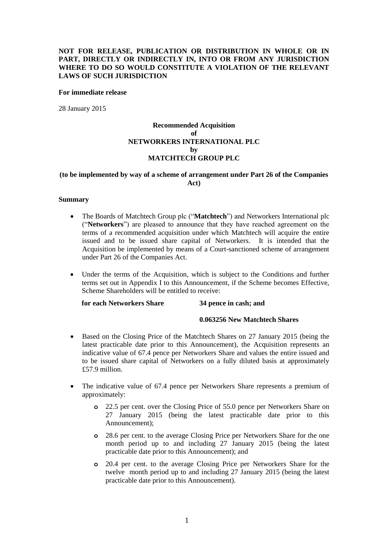# **NOT FOR RELEASE, PUBLICATION OR DISTRIBUTION IN WHOLE OR IN PART, DIRECTLY OR INDIRECTLY IN, INTO OR FROM ANY JURISDICTION WHERE TO DO SO WOULD CONSTITUTE A VIOLATION OF THE RELEVANT LAWS OF SUCH JURISDICTION**

#### **For immediate release**

28 January 2015

# **Recommended Acquisition of NETWORKERS INTERNATIONAL PLC by MATCHTECH GROUP PLC**

# **(to be implemented by way of a scheme of arrangement under Part 26 of the Companies Act)**

#### **Summary**

- The Boards of Matchtech Group plc ("**Matchtech**") and Networkers International plc ("**Networkers**") are pleased to announce that they have reached agreement on the terms of a recommended acquisition under which Matchtech will acquire the entire issued and to be issued share capital of Networkers. It is intended that the Acquisition be implemented by means of a Court-sanctioned scheme of arrangement under Part 26 of the Companies Act.
- Under the terms of the Acquisition, which is subject to the Conditions and further terms set out in Appendix I to this Announcement, if the Scheme becomes Effective, Scheme Shareholders will be entitled to receive:

**for each Networkers Share 34 pence in cash; and**

#### **0.063256 New Matchtech Shares**

- Based on the Closing Price of the Matchtech Shares on 27 January 2015 (being the latest practicable date prior to this Announcement), the Acquisition represents an indicative value of 67.4 pence per Networkers Share and values the entire issued and to be issued share capital of Networkers on a fully diluted basis at approximately £57.9 million.
- The indicative value of 67.4 pence per Networkers Share represents a premium of approximately:
	- **o** 22.5 per cent. over the Closing Price of 55.0 pence per Networkers Share on 27 January 2015 (being the latest practicable date prior to this Announcement);
	- **o** 28.6 per cent. to the average Closing Price per Networkers Share for the one month period up to and including 27 January 2015 (being the latest practicable date prior to this Announcement); and
	- **o** 20.4 per cent. to the average Closing Price per Networkers Share for the twelve month period up to and including 27 January 2015 (being the latest practicable date prior to this Announcement).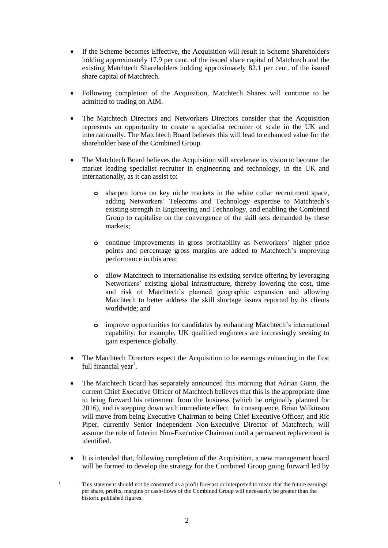- If the Scheme becomes Effective, the Acquisition will result in Scheme Shareholders holding approximately 17.9 per cent. of the issued share capital of Matchtech and the existing Matchtech Shareholders holding approximately 82.1 per cent. of the issued share capital of Matchtech.
- Following completion of the Acquisition, Matchtech Shares will continue to be admitted to trading on AIM.
- The Matchtech Directors and Networkers Directors consider that the Acquisition represents an opportunity to create a specialist recruiter of scale in the UK and internationally. The Matchtech Board believes this will lead to enhanced value for the shareholder base of the Combined Group.
- The Matchtech Board believes the Acquisition will accelerate its vision to become the market leading specialist recruiter in engineering and technology, in the UK and internationally, as it can assist to:
	- **o** sharpen focus on key niche markets in the white collar recruitment space, adding Networkers' Telecoms and Technology expertise to Matchtech's existing strength in Engineering and Technology, and enabling the Combined Group to capitalise on the convergence of the skill sets demanded by these markets;
	- **o** continue improvements in gross profitability as Networkers' higher price points and percentage gross margins are added to Matchtech's improving performance in this area;
	- **o** allow Matchtech to internationalise its existing service offering by leveraging Networkers' existing global infrastructure, thereby lowering the cost, time and risk of Matchtech's planned geographic expansion and allowing Matchtech to better address the skill shortage issues reported by its clients worldwide; and
	- **o** improve opportunities for candidates by enhancing Matchtech's international capability; for example, UK qualified engineers are increasingly seeking to gain experience globally.
- The Matchtech Directors expect the Acquisition to be earnings enhancing in the first full financial year<sup>1</sup>.
- The Matchtech Board has separately announced this morning that Adrian Gunn, the current Chief Executive Officer of Matchtech believes that this is the appropriate time to bring forward his retirement from the business (which he originally planned for 2016), and is stepping down with immediate effect. In consequence, Brian Wilkinson will move from being Executive Chairman to being Chief Executive Officer; and Ric Piper, currently Senior Independent Non-Executive Director of Matchtech, will assume the role of Interim Non-Executive Chairman until a permanent replacement is identified.
- It is intended that, following completion of the Acquisition, a new management board will be formed to develop the strategy for the Combined Group going forward led by
- $\overline{1}$ <sup>1</sup> This statement should not be construed as a profit forecast or interpreted to mean that the future earnings per share, profits, margins or cash-flows of the Combined Group will necessarily be greater than the historic published figures.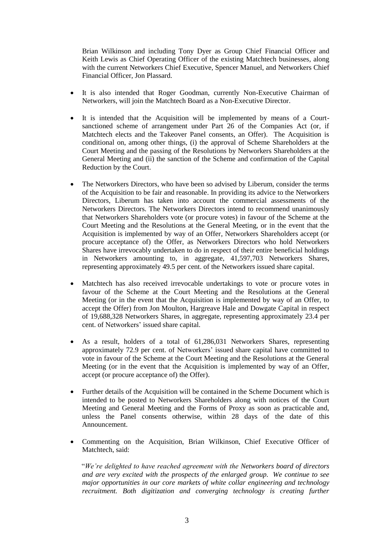Brian Wilkinson and including Tony Dyer as Group Chief Financial Officer and Keith Lewis as Chief Operating Officer of the existing Matchtech businesses, along with the current Networkers Chief Executive, Spencer Manuel, and Networkers Chief Financial Officer, Jon Plassard.

- It is also intended that Roger Goodman, currently Non-Executive Chairman of Networkers, will join the Matchtech Board as a Non-Executive Director.
- It is intended that the Acquisition will be implemented by means of a Courtsanctioned scheme of arrangement under Part 26 of the Companies Act (or, if Matchtech elects and the Takeover Panel consents, an Offer). The Acquisition is conditional on, among other things, (i) the approval of Scheme Shareholders at the Court Meeting and the passing of the Resolutions by Networkers Shareholders at the General Meeting and (ii) the sanction of the Scheme and confirmation of the Capital Reduction by the Court.
- The Networkers Directors, who have been so advised by Liberum, consider the terms of the Acquisition to be fair and reasonable. In providing its advice to the Networkers Directors, Liberum has taken into account the commercial assessments of the Networkers Directors. The Networkers Directors intend to recommend unanimously that Networkers Shareholders vote (or procure votes) in favour of the Scheme at the Court Meeting and the Resolutions at the General Meeting, or in the event that the Acquisition is implemented by way of an Offer, Networkers Shareholders accept (or procure acceptance of) the Offer, as Networkers Directors who hold Networkers Shares have irrevocably undertaken to do in respect of their entire beneficial holdings in Networkers amounting to, in aggregate, 41,597,703 Networkers Shares, representing approximately 49.5 per cent. of the Networkers issued share capital.
- Matchtech has also received irrevocable undertakings to vote or procure votes in favour of the Scheme at the Court Meeting and the Resolutions at the General Meeting (or in the event that the Acquisition is implemented by way of an Offer, to accept the Offer) from Jon Moulton, Hargreave Hale and Dowgate Capital in respect of 19,688,328 Networkers Shares, in aggregate, representing approximately 23.4 per cent. of Networkers' issued share capital.
- As a result, holders of a total of 61,286,031 Networkers Shares, representing approximately 72.9 per cent. of Networkers' issued share capital have committed to vote in favour of the Scheme at the Court Meeting and the Resolutions at the General Meeting (or in the event that the Acquisition is implemented by way of an Offer, accept (or procure acceptance of) the Offer).
- Further details of the Acquisition will be contained in the Scheme Document which is intended to be posted to Networkers Shareholders along with notices of the Court Meeting and General Meeting and the Forms of Proxy as soon as practicable and, unless the Panel consents otherwise, within 28 days of the date of this Announcement.
- Commenting on the Acquisition, Brian Wilkinson, Chief Executive Officer of Matchtech, said:

"*We're delighted to have reached agreement with the Networkers board of directors and are very excited with the prospects of the enlarged group. We continue to see major opportunities in our core markets of white collar engineering and technology recruitment. Both digitization and converging technology is creating further*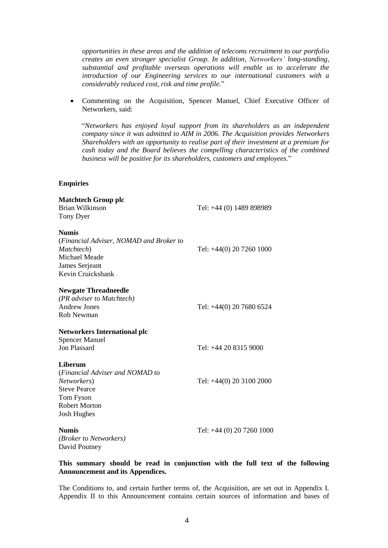*opportunities in these areas and the addition of telecoms recruitment to our portfolio creates an even stronger specialist Group. In addition, Networkers' long-standing, substantial and profitable overseas operations will enable us to accelerate the introduction of our Engineering services to our international customers with a considerably reduced cost, risk and time profile.*"

 Commenting on the Acquisition, Spencer Manuel, Chief Executive Officer of Networkers, said:

"*Networkers has enjoyed loyal support from its shareholders as an independent company since it was admitted to AIM in 2006. The Acquisition provides Networkers Shareholders with an opportunity to realise part of their investment at a premium for cash today and the Board believes the compelling characteristics of the combined business will be positive for its shareholders, customers and employees.*"

# **Enquiries**

| <b>Matchtech Group plc</b><br>Brian Wilkinson<br>Tony Dyer                                                                           | Tel: +44 (0) 1489 898989  |
|--------------------------------------------------------------------------------------------------------------------------------------|---------------------------|
| <b>Numis</b><br>(Financial Adviser, NOMAD and Broker to<br>Matchtech)<br>Michael Meade<br>James Serjeant<br>Kevin Cruickshank        | Tel: +44(0) 20 7260 1000  |
| <b>Newgate Threadneedle</b><br>(PR adviser to Matchtech)<br><b>Andrew Jones</b><br><b>Rob Newman</b>                                 | Tel: +44(0) 20 7680 6524  |
| <b>Networkers International plc</b><br><b>Spencer Manuel</b><br><b>Jon Plassard</b>                                                  | Tel: +44 20 8315 9000     |
| Liberum<br>(Financial Adviser and NOMAD to<br>Networkers)<br><b>Steve Pearce</b><br>Tom Fyson<br>Robert Morton<br><b>Josh Hughes</b> | Tel: +44(0) 20 3100 2000  |
| <b>Numis</b><br>(Broker to Networkers)<br>David Poutney                                                                              | Tel: +44 (0) 20 7260 1000 |

## **This summary should be read in conjunction with the full text of the following Announcement and its Appendices.**

The Conditions to, and certain further terms of, the Acquisition, are set out in Appendix I. Appendix II to this Announcement contains certain sources of information and bases of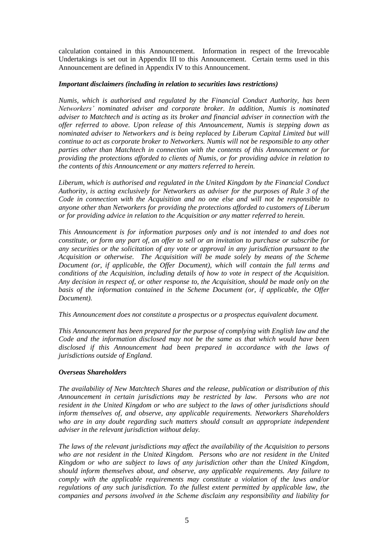calculation contained in this Announcement. Information in respect of the Irrevocable Undertakings is set out in Appendix III to this Announcement. Certain terms used in this Announcement are defined in Appendix IV to this Announcement.

## *Important disclaimers (including in relation to securities laws restrictions)*

*Numis, which is authorised and regulated by the Financial Conduct Authority, has been Networkers' nominated adviser and corporate broker. In addition, Numis is nominated adviser to Matchtech and is acting as its broker and financial adviser in connection with the offer referred to above. Upon release of this Announcement, Numis is stepping down as nominated adviser to Networkers and is being replaced by Liberum Capital Limited but will continue to act as corporate broker to Networkers. Numis will not be responsible to any other parties other than Matchtech in connection with the contents of this Announcement or for providing the protections afforded to clients of Numis, or for providing advice in relation to the contents of this Announcement or any matters referred to herein.*

*Liberum, which is authorised and regulated in the United Kingdom by the Financial Conduct Authority, is acting exclusively for Networkers as adviser for the purposes of Rule 3 of the Code in connection with the Acquisition and no one else and will not be responsible to anyone other than Networkers for providing the protections afforded to customers of Liberum or for providing advice in relation to the Acquisition or any matter referred to herein.*

*This Announcement is for information purposes only and is not intended to and does not constitute, or form any part of, an offer to sell or an invitation to purchase or subscribe for any securities or the solicitation of any vote or approval in any jurisdiction pursuant to the Acquisition or otherwise. The Acquisition will be made solely by means of the Scheme Document (or, if applicable, the Offer Document), which will contain the full terms and conditions of the Acquisition, including details of how to vote in respect of the Acquisition. Any decision in respect of, or other response to, the Acquisition, should be made only on the basis of the information contained in the Scheme Document (or, if applicable, the Offer Document).*

*This Announcement does not constitute a prospectus or a prospectus equivalent document.*

*This Announcement has been prepared for the purpose of complying with English law and the Code and the information disclosed may not be the same as that which would have been disclosed if this Announcement had been prepared in accordance with the laws of jurisdictions outside of England.*

# *Overseas Shareholders*

*The availability of New Matchtech Shares and the release, publication or distribution of this Announcement in certain jurisdictions may be restricted by law. Persons who are not resident in the United Kingdom or who are subject to the laws of other jurisdictions should inform themselves of, and observe, any applicable requirements. Networkers Shareholders who are in any doubt regarding such matters should consult an appropriate independent adviser in the relevant jurisdiction without delay.*

*The laws of the relevant jurisdictions may affect the availability of the Acquisition to persons who are not resident in the United Kingdom. Persons who are not resident in the United Kingdom or who are subject to laws of any jurisdiction other than the United Kingdom, should inform themselves about, and observe, any applicable requirements. Any failure to comply with the applicable requirements may constitute a violation of the laws and/or regulations of any such jurisdiction. To the fullest extent permitted by applicable law, the companies and persons involved in the Scheme disclaim any responsibility and liability for*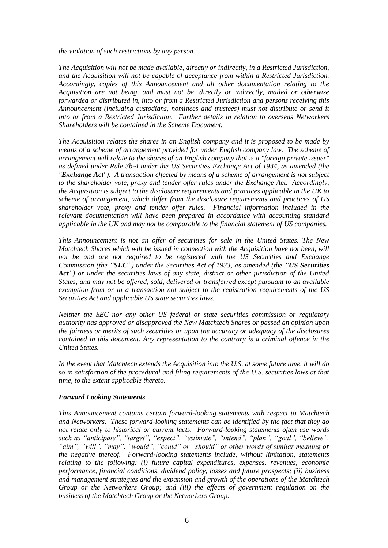*the violation of such restrictions by any person.*

*The Acquisition will not be made available, directly or indirectly, in a Restricted Jurisdiction, and the Acquisition will not be capable of acceptance from within a Restricted Jurisdiction. Accordingly, copies of this Announcement and all other documentation relating to the Acquisition are not being, and must not be, directly or indirectly, mailed or otherwise forwarded or distributed in, into or from a Restricted Jurisdiction and persons receiving this Announcement (including custodians, nominees and trustees) must not distribute or send it into or from a Restricted Jurisdiction. Further details in relation to overseas Networkers Shareholders will be contained in the Scheme Document.* 

*The Acquisition relates the shares in an English company and it is proposed to be made by means of a scheme of arrangement provided for under English company law. The scheme of arrangement will relate to the shares of an English company that is a "foreign private issuer" as defined under Rule 3b-4 under the US Securities Exchange Act of 1934, as amended (the "Exchange Act"). A transaction effected by means of a scheme of arrangement is not subject to the shareholder vote, proxy and tender offer rules under the Exchange Act. Accordingly, the Acquisition is subject to the disclosure requirements and practices applicable in the UK to scheme of arrangement, which differ from the disclosure requirements and practices of US shareholder vote, proxy and tender offer rules. Financial information included in the relevant documentation will have been prepared in accordance with accounting standard applicable in the UK and may not be comparable to the financial statement of US companies.*

*This Announcement is not an offer of securities for sale in the United States. The New Matchtech Shares which will be issued in connection with the Acquisition have not been, will not be and are not required to be registered with the US Securities and Exchange Commission (the "SEC") under the Securities Act of 1933, as amended (the "US Securities Act") or under the securities laws of any state, district or other jurisdiction of the United States, and may not be offered, sold, delivered or transferred except pursuant to an available exemption from or in a transaction not subject to the registration requirements of the US Securities Act and applicable US state securities laws.* 

*Neither the SEC nor any other US federal or state securities commission or regulatory authority has approved or disapproved the New Matchtech Shares or passed an opinion upon the fairness or merits of such securities or upon the accuracy or adequacy of the disclosures contained in this document. Any representation to the contrary is a criminal offence in the United States.*

*In the event that Matchtech extends the Acquisition into the U.S. at some future time, it will do so in satisfaction of the procedural and filing requirements of the U.S. securities laws at that time, to the extent applicable thereto.*

# *Forward Looking Statements*

*This Announcement contains certain forward-looking statements with respect to Matchtech and Networkers. These forward-looking statements can be identified by the fact that they do not relate only to historical or current facts. Forward-looking statements often use words such as "anticipate", "target", "expect", "estimate", "intend", "plan", "goal", "believe", "aim", "will", "may", "would", "could" or "should" or other words of similar meaning or the negative thereof. Forward-looking statements include, without limitation, statements relating to the following: (i) future capital expenditures, expenses, revenues, economic performance, financial conditions, dividend policy, losses and future prospects; (ii) business and management strategies and the expansion and growth of the operations of the Matchtech Group or the Networkers Group; and (iii) the effects of government regulation on the business of the Matchtech Group or the Networkers Group.*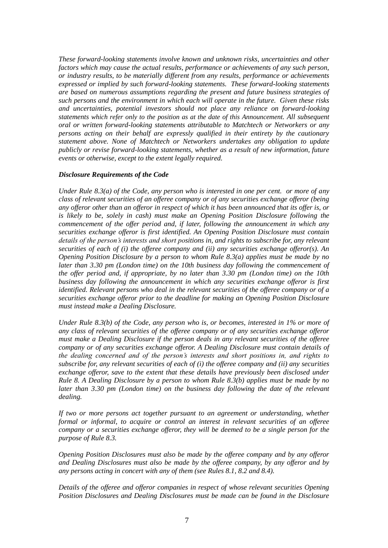*These forward-looking statements involve known and unknown risks, uncertainties and other factors which may cause the actual results, performance or achievements of any such person, or industry results, to be materially different from any results, performance or achievements expressed or implied by such forward-looking statements. These forward-looking statements are based on numerous assumptions regarding the present and future business strategies of such persons and the environment in which each will operate in the future. Given these risks and uncertainties, potential investors should not place any reliance on forward-looking statements which refer only to the position as at the date of this Announcement. All subsequent oral or written forward-looking statements attributable to Matchtech or Networkers or any persons acting on their behalf are expressly qualified in their entirety by the cautionary statement above. None of Matchtech or Networkers undertakes any obligation to update publicly or revise forward-looking statements, whether as a result of new information, future events or otherwise, except to the extent legally required.*

## *Disclosure Requirements of the Code*

*Under Rule 8.3(a) of the Code, any person who is interested in one per cent. or more of any class of relevant securities of an offeree company or of any securities exchange offeror (being any offeror other than an offeror in respect of which it has been announced that its offer is, or is likely to be, solely in cash) must make an Opening Position Disclosure following the commencement of the offer period and, if later, following the announcement in which any securities exchange offeror is first identified. An Opening Position Disclosure must contain details of the person's interests and short positions in, and rights to subscribe for, any relevant securities of each of (i) the offeree company and (ii) any securities exchange offeror(s). An Opening Position Disclosure by a person to whom Rule 8.3(a) applies must be made by no later than 3.30 pm (London time) on the 10th business day following the commencement of the offer period and, if appropriate, by no later than 3.30 pm (London time) on the 10th business day following the announcement in which any securities exchange offeror is first identified. Relevant persons who deal in the relevant securities of the offeree company or of a securities exchange offeror prior to the deadline for making an Opening Position Disclosure must instead make a Dealing Disclosure.*

*Under Rule 8.3(b) of the Code, any person who is, or becomes, interested in 1% or more of any class of relevant securities of the offeree company or of any securities exchange offeror must make a Dealing Disclosure if the person deals in any relevant securities of the offeree company or of any securities exchange offeror. A Dealing Disclosure must contain details of the dealing concerned and of the person's interests and short positions in, and rights to subscribe for, any relevant securities of each of (i) the offeree company and (ii) any securities exchange offeror, save to the extent that these details have previously been disclosed under Rule 8. A Dealing Disclosure by a person to whom Rule 8.3(b) applies must be made by no later than 3.30 pm (London time) on the business day following the date of the relevant dealing.*

*If two or more persons act together pursuant to an agreement or understanding, whether formal or informal, to acquire or control an interest in relevant securities of an offeree company or a securities exchange offeror, they will be deemed to be a single person for the purpose of Rule 8.3.*

*Opening Position Disclosures must also be made by the offeree company and by any offeror and Dealing Disclosures must also be made by the offeree company, by any offeror and by any persons acting in concert with any of them (see Rules 8.1, 8.2 and 8.4).*

*Details of the offeree and offeror companies in respect of whose relevant securities Opening Position Disclosures and Dealing Disclosures must be made can be found in the Disclosure*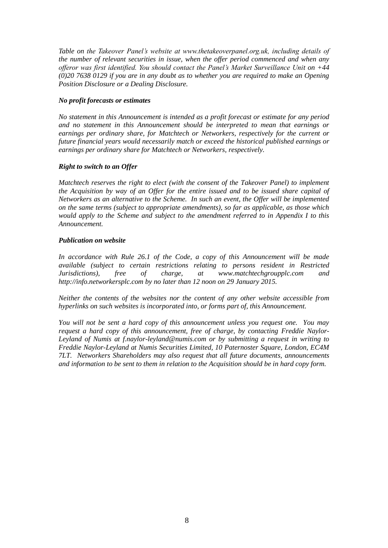*Table on the Takeover Panel's website at www.thetakeoverpanel.org.uk, including details of the number of relevant securities in issue, when the offer period commenced and when any offeror was first identified. You should contact the Panel's Market Surveillance Unit on +44 (0)20 7638 0129 if you are in any doubt as to whether you are required to make an Opening Position Disclosure or a Dealing Disclosure.*

# *No profit forecasts or estimates*

*No statement in this Announcement is intended as a profit forecast or estimate for any period and no statement in this Announcement should be interpreted to mean that earnings or earnings per ordinary share, for Matchtech or Networkers, respectively for the current or future financial years would necessarily match or exceed the historical published earnings or earnings per ordinary share for Matchtech or Networkers, respectively.*

# *Right to switch to an Offer*

*Matchtech reserves the right to elect (with the consent of the Takeover Panel) to implement the Acquisition by way of an Offer for the entire issued and to be issued share capital of Networkers as an alternative to the Scheme. In such an event, the Offer will be implemented on the same terms (subject to appropriate amendments), so far as applicable, as those which would apply to the Scheme and subject to the amendment referred to in Appendix I to this Announcement.*

# *Publication on website*

In accordance with Rule 26.1 of the Code, a copy of this Announcement will be made *available (subject to certain restrictions relating to persons resident in Restricted Jurisdictions), free of charge, at www.matchtechgroupplc.com and http://info.networkersplc.com by no later than 12 noon on 29 January 2015.*

*Neither the contents of the websites nor the content of any other website accessible from hyperlinks on such websites is incorporated into, or forms part of, this Announcement.*

*You will not be sent a hard copy of this announcement unless you request one. You may request a hard copy of this announcement, free of charge, by contacting Freddie Naylor-Leyland of Numis at f.naylor-leyland@numis.com or by submitting a request in writing to Freddie Naylor-Leyland at Numis Securities Limited, 10 Paternoster Square, London, EC4M 7LT. Networkers Shareholders may also request that all future documents, announcements and information to be sent to them in relation to the Acquisition should be in hard copy form.*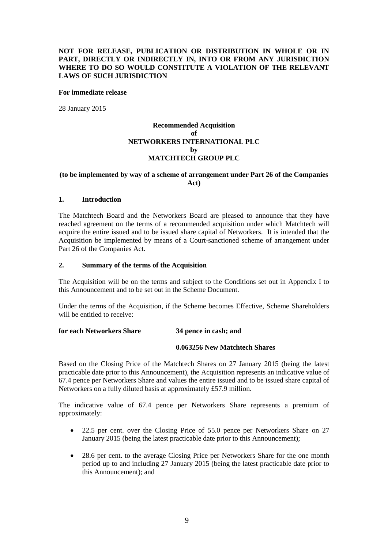# **NOT FOR RELEASE, PUBLICATION OR DISTRIBUTION IN WHOLE OR IN PART, DIRECTLY OR INDIRECTLY IN, INTO OR FROM ANY JURISDICTION WHERE TO DO SO WOULD CONSTITUTE A VIOLATION OF THE RELEVANT LAWS OF SUCH JURISDICTION**

#### **For immediate release**

28 January 2015

# **Recommended Acquisition of NETWORKERS INTERNATIONAL PLC by MATCHTECH GROUP PLC**

# **(to be implemented by way of a scheme of arrangement under Part 26 of the Companies Act)**

#### **1. Introduction**

The Matchtech Board and the Networkers Board are pleased to announce that they have reached agreement on the terms of a recommended acquisition under which Matchtech will acquire the entire issued and to be issued share capital of Networkers. It is intended that the Acquisition be implemented by means of a Court-sanctioned scheme of arrangement under Part 26 of the Companies Act.

#### **2. Summary of the terms of the Acquisition**

The Acquisition will be on the terms and subject to the Conditions set out in Appendix I to this Announcement and to be set out in the Scheme Document.

Under the terms of the Acquisition, if the Scheme becomes Effective, Scheme Shareholders will be entitled to receive:

#### **for each Networkers Share 34 pence in cash; and**

#### **0.063256 New Matchtech Shares**

Based on the Closing Price of the Matchtech Shares on 27 January 2015 (being the latest practicable date prior to this Announcement), the Acquisition represents an indicative value of 67.4 pence per Networkers Share and values the entire issued and to be issued share capital of Networkers on a fully diluted basis at approximately £57.9 million.

The indicative value of 67.4 pence per Networkers Share represents a premium of approximately:

- 22.5 per cent. over the Closing Price of 55.0 pence per Networkers Share on 27 January 2015 (being the latest practicable date prior to this Announcement);
- 28.6 per cent. to the average Closing Price per Networkers Share for the one month period up to and including 27 January 2015 (being the latest practicable date prior to this Announcement); and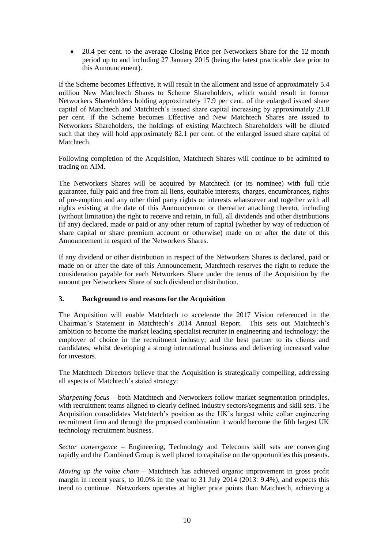• 20.4 per cent. to the average Closing Price per Networkers Share for the 12 month period up to and including 27 January 2015 (being the latest practicable date prior to this Announcement).

If the Scheme becomes Effective, it will result in the allotment and issue of approximately 5.4 million New Matchtech Shares to Scheme Shareholders, which would result in former Networkers Shareholders holding approximately 17.9 per cent. of the enlarged issued share capital of Matchtech and Matchtech's issued share capital increasing by approximately 21.8 per cent. If the Scheme becomes Effective and New Matchtech Shares are issued to Networkers Shareholders, the holdings of existing Matchtech Shareholders will be diluted such that they will hold approximately 82.1 per cent. of the enlarged issued share capital of Matchtech.

Following completion of the Acquisition, Matchtech Shares will continue to be admitted to trading on AIM.

The Networkers Shares will be acquired by Matchtech (or its nominee) with full title guarantee, fully paid and free from all liens, equitable interests, charges, encumbrances, rights of pre-emption and any other third party rights or interests whatsoever and together with all rights existing at the date of this Announcement or thereafter attaching thereto, including (without limitation) the right to receive and retain, in full, all dividends and other distributions (if any) declared, made or paid or any other return of capital (whether by way of reduction of share capital or share premium account or otherwise) made on or after the date of this Announcement in respect of the Networkers Shares.

If any dividend or other distribution in respect of the Networkers Shares is declared, paid or made on or after the date of this Announcement, Matchtech reserves the right to reduce the consideration payable for each Networkers Share under the terms of the Acquisition by the amount per Networkers Share of such dividend or distribution.

# **3. Background to and reasons for the Acquisition**

The Acquisition will enable Matchtech to accelerate the 2017 Vision referenced in the Chairman's Statement in Matchtech's 2014 Annual Report. This sets out Matchtech's ambition to become the market leading specialist recruiter in engineering and technology; the employer of choice in the recruitment industry; and the best partner to its clients and candidates; whilst developing a strong international business and delivering increased value for investors.

The Matchtech Directors believe that the Acquisition is strategically compelling, addressing all aspects of Matchtech's stated strategy:

*Sharpening focus* – both Matchtech and Networkers follow market segmentation principles, with recruitment teams aligned to clearly defined industry sectors/segments and skill sets. The Acquisition consolidates Matchtech's position as the UK's largest white collar engineering recruitment firm and through the proposed combination it would become the fifth largest UK technology recruitment business.

*Sector convergence* – Engineering, Technology and Telecoms skill sets are converging rapidly and the Combined Group is well placed to capitalise on the opportunities this presents.

*Moving up the value chain* – Matchtech has achieved organic improvement in gross profit margin in recent years, to 10.0% in the year to 31 July 2014 (2013: 9.4%), and expects this trend to continue. Networkers operates at higher price points than Matchtech, achieving a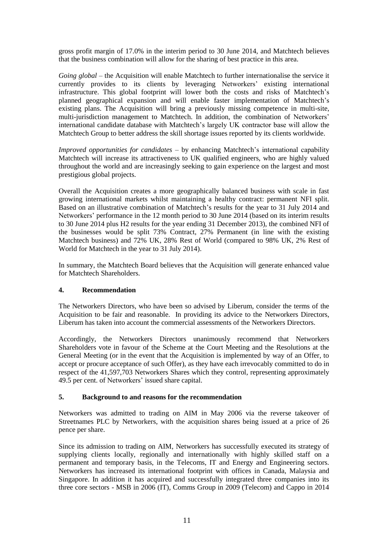gross profit margin of 17.0% in the interim period to 30 June 2014, and Matchtech believes that the business combination will allow for the sharing of best practice in this area.

*Going global* – the Acquisition will enable Matchtech to further internationalise the service it currently provides to its clients by leveraging Networkers' existing international infrastructure. This global footprint will lower both the costs and risks of Matchtech's planned geographical expansion and will enable faster implementation of Matchtech's existing plans. The Acquisition will bring a previously missing competence in multi-site, multi-jurisdiction management to Matchtech. In addition, the combination of Networkers' international candidate database with Matchtech's largely UK contractor base will allow the Matchtech Group to better address the skill shortage issues reported by its clients worldwide.

*Improved opportunities for candidates* – by enhancing Matchtech's international capability Matchtech will increase its attractiveness to UK qualified engineers, who are highly valued throughout the world and are increasingly seeking to gain experience on the largest and most prestigious global projects.

Overall the Acquisition creates a more geographically balanced business with scale in fast growing international markets whilst maintaining a healthy contract: permanent NFI split. Based on an illustrative combination of Matchtech's results for the year to 31 July 2014 and Networkers' performance in the 12 month period to 30 June 2014 (based on its interim results to 30 June 2014 plus H2 results for the year ending 31 December 2013), the combined NFI of the businesses would be split 73% Contract, 27% Permanent (in line with the existing Matchtech business) and 72% UK, 28% Rest of World (compared to 98% UK, 2% Rest of World for Matchtech in the year to 31 July 2014).

In summary, the Matchtech Board believes that the Acquisition will generate enhanced value for Matchtech Shareholders.

# **4. Recommendation**

The Networkers Directors, who have been so advised by Liberum, consider the terms of the Acquisition to be fair and reasonable. In providing its advice to the Networkers Directors, Liberum has taken into account the commercial assessments of the Networkers Directors.

Accordingly, the Networkers Directors unanimously recommend that Networkers Shareholders vote in favour of the Scheme at the Court Meeting and the Resolutions at the General Meeting (or in the event that the Acquisition is implemented by way of an Offer, to accept or procure acceptance of such Offer), as they have each irrevocably committed to do in respect of the 41,597,703 Networkers Shares which they control, representing approximately 49.5 per cent. of Networkers' issued share capital.

# **5. Background to and reasons for the recommendation**

Networkers was admitted to trading on AIM in May 2006 via the reverse takeover of Streetnames PLC by Networkers, with the acquisition shares being issued at a price of 26 pence per share.

Since its admission to trading on AIM, Networkers has successfully executed its strategy of supplying clients locally, regionally and internationally with highly skilled staff on a permanent and temporary basis, in the Telecoms, IT and Energy and Engineering sectors. Networkers has increased its international footprint with offices in Canada, Malaysia and Singapore. In addition it has acquired and successfully integrated three companies into its three core sectors - MSB in 2006 (IT), Comms Group in 2009 (Telecom) and Cappo in 2014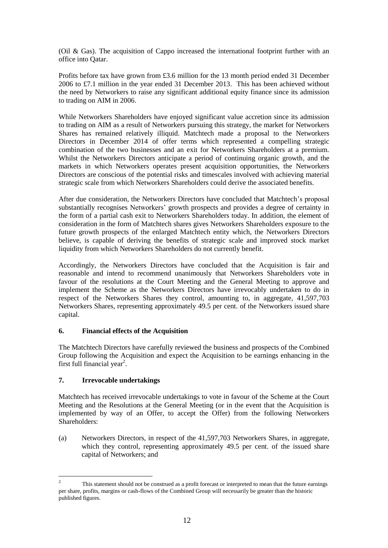(Oil & Gas). The acquisition of Cappo increased the international footprint further with an office into Qatar.

Profits before tax have grown from £3.6 million for the 13 month period ended 31 December 2006 to £7.1 million in the year ended 31 December 2013. This has been achieved without the need by Networkers to raise any significant additional equity finance since its admission to trading on AIM in 2006.

While Networkers Shareholders have enjoyed significant value accretion since its admission to trading on AIM as a result of Networkers pursuing this strategy, the market for Networkers Shares has remained relatively illiquid. Matchtech made a proposal to the Networkers Directors in December 2014 of offer terms which represented a compelling strategic combination of the two businesses and an exit for Networkers Shareholders at a premium. Whilst the Networkers Directors anticipate a period of continuing organic growth, and the markets in which Networkers operates present acquisition opportunities, the Networkers Directors are conscious of the potential risks and timescales involved with achieving material strategic scale from which Networkers Shareholders could derive the associated benefits.

After due consideration, the Networkers Directors have concluded that Matchtech's proposal substantially recognises Networkers' growth prospects and provides a degree of certainty in the form of a partial cash exit to Networkers Shareholders today. In addition, the element of consideration in the form of Matchtech shares gives Networkers Shareholders exposure to the future growth prospects of the enlarged Matchtech entity which, the Networkers Directors believe, is capable of deriving the benefits of strategic scale and improved stock market liquidity from which Networkers Shareholders do not currently benefit.

Accordingly, the Networkers Directors have concluded that the Acquisition is fair and reasonable and intend to recommend unanimously that Networkers Shareholders vote in favour of the resolutions at the Court Meeting and the General Meeting to approve and implement the Scheme as the Networkers Directors have irrevocably undertaken to do in respect of the Networkers Shares they control, amounting to, in aggregate, 41,597,703 Networkers Shares, representing approximately 49.5 per cent. of the Networkers issued share capital.

# **6. Financial effects of the Acquisition**

The Matchtech Directors have carefully reviewed the business and prospects of the Combined Group following the Acquisition and expect the Acquisition to be earnings enhancing in the first full financial year<sup>2</sup>.

# **7. Irrevocable undertakings**

—<br>—

Matchtech has received irrevocable undertakings to vote in favour of the Scheme at the Court Meeting and the Resolutions at the General Meeting (or in the event that the Acquisition is implemented by way of an Offer, to accept the Offer) from the following Networkers Shareholders:

(a) Networkers Directors, in respect of the 41,597,703 Networkers Shares, in aggregate, which they control, representing approximately 49.5 per cent, of the issued share capital of Networkers; and

<sup>2</sup> This statement should not be construed as a profit forecast or interpreted to mean that the future earnings per share, profits, margins or cash-flows of the Combined Group will necessarily be greater than the historic published figures.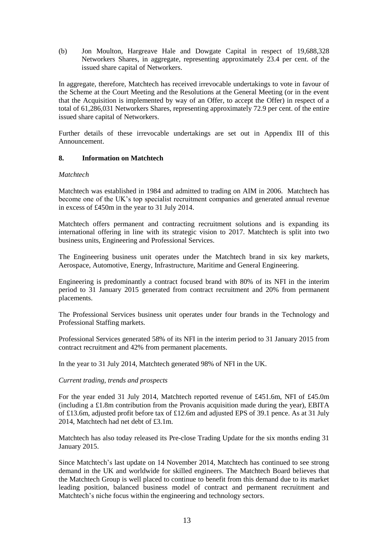(b) Jon Moulton, Hargreave Hale and Dowgate Capital in respect of 19,688,328 Networkers Shares, in aggregate, representing approximately 23.4 per cent. of the issued share capital of Networkers.

In aggregate, therefore, Matchtech has received irrevocable undertakings to vote in favour of the Scheme at the Court Meeting and the Resolutions at the General Meeting (or in the event that the Acquisition is implemented by way of an Offer, to accept the Offer) in respect of a total of 61,286,031 Networkers Shares, representing approximately 72.9 per cent. of the entire issued share capital of Networkers.

Further details of these irrevocable undertakings are set out in Appendix III of this Announcement.

# **8. Information on Matchtech**

## *Matchtech*

Matchtech was established in 1984 and admitted to trading on AIM in 2006. Matchtech has become one of the UK's top specialist recruitment companies and generated annual revenue in excess of £450m in the year to 31 July 2014.

Matchtech offers permanent and contracting recruitment solutions and is expanding its international offering in line with its strategic vision to 2017. Matchtech is split into two business units, Engineering and Professional Services.

The Engineering business unit operates under the Matchtech brand in six key markets, Aerospace, Automotive, Energy, Infrastructure, Maritime and General Engineering.

Engineering is predominantly a contract focused brand with 80% of its NFI in the interim period to 31 January 2015 generated from contract recruitment and 20% from permanent placements.

The Professional Services business unit operates under four brands in the Technology and Professional Staffing markets.

Professional Services generated 58% of its NFI in the interim period to 31 January 2015 from contract recruitment and 42% from permanent placements.

In the year to 31 July 2014, Matchtech generated 98% of NFI in the UK.

### *Current trading, trends and prospects*

For the year ended 31 July 2014, Matchtech reported revenue of £451.6m, NFI of £45.0m (including a £1.8m contribution from the Provanis acquisition made during the year), EBITA of £13.6m, adjusted profit before tax of £12.6m and adjusted EPS of 39.1 pence. As at 31 July 2014, Matchtech had net debt of £3.1m.

Matchtech has also today released its Pre-close Trading Update for the six months ending 31 January 2015.

Since Matchtech's last update on 14 November 2014, Matchtech has continued to see strong demand in the UK and worldwide for skilled engineers. The Matchtech Board believes that the Matchtech Group is well placed to continue to benefit from this demand due to its market leading position, balanced business model of contract and permanent recruitment and Matchtech's niche focus within the engineering and technology sectors.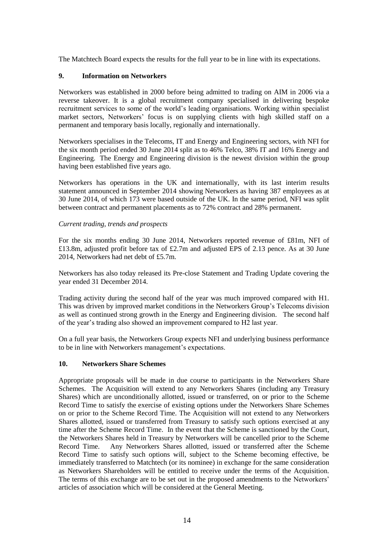The Matchtech Board expects the results for the full year to be in line with its expectations.

# **9. Information on Networkers**

Networkers was established in 2000 before being admitted to trading on AIM in 2006 via a reverse takeover. It is a global recruitment company specialised in delivering bespoke recruitment services to some of the world's leading organisations. Working within specialist market sectors, Networkers' focus is on supplying clients with high skilled staff on a permanent and temporary basis locally, regionally and internationally.

Networkers specialises in the Telecoms, IT and Energy and Engineering sectors, with NFI for the six month period ended 30 June 2014 split as to 46% Telco, 38% IT and 16% Energy and Engineering. The Energy and Engineering division is the newest division within the group having been established five years ago.

Networkers has operations in the UK and internationally, with its last interim results statement announced in September 2014 showing Networkers as having 387 employees as at 30 June 2014, of which 173 were based outside of the UK. In the same period, NFI was split between contract and permanent placements as to 72% contract and 28% permanent.

# *Current trading, trends and prospects*

For the six months ending 30 June 2014, Networkers reported revenue of £81m, NFI of £13.8m, adjusted profit before tax of £2.7m and adjusted EPS of 2.13 pence. As at 30 June 2014, Networkers had net debt of £5.7m.

Networkers has also today released its Pre-close Statement and Trading Update covering the year ended 31 December 2014.

Trading activity during the second half of the year was much improved compared with H1. This was driven by improved market conditions in the Networkers Group's Telecoms division as well as continued strong growth in the Energy and Engineering division. The second half of the year's trading also showed an improvement compared to H2 last year.

On a full year basis, the Networkers Group expects NFI and underlying business performance to be in line with Networkers management's expectations.

# **10. Networkers Share Schemes**

Appropriate proposals will be made in due course to participants in the Networkers Share Schemes. The Acquisition will extend to any Networkers Shares (including any Treasury Shares) which are unconditionally allotted, issued or transferred, on or prior to the Scheme Record Time to satisfy the exercise of existing options under the Networkers Share Schemes on or prior to the Scheme Record Time. The Acquisition will not extend to any Networkers Shares allotted, issued or transferred from Treasury to satisfy such options exercised at any time after the Scheme Record Time. In the event that the Scheme is sanctioned by the Court, the Networkers Shares held in Treasury by Networkers will be cancelled prior to the Scheme Record Time. Any Networkers Shares allotted, issued or transferred after the Scheme Record Time to satisfy such options will, subject to the Scheme becoming effective, be immediately transferred to Matchtech (or its nominee) in exchange for the same consideration as Networkers Shareholders will be entitled to receive under the terms of the Acquisition. The terms of this exchange are to be set out in the proposed amendments to the Networkers' articles of association which will be considered at the General Meeting.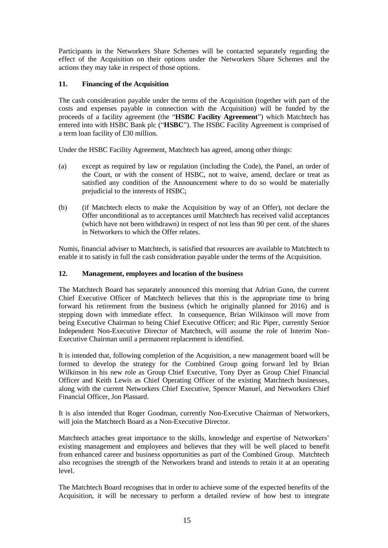Participants in the Networkers Share Schemes will be contacted separately regarding the effect of the Acquisition on their options under the Networkers Share Schemes and the actions they may take in respect of those options.

# **11. Financing of the Acquisition**

The cash consideration payable under the terms of the Acquisition (together with part of the costs and expenses payable in connection with the Acquisition) will be funded by the proceeds of a facility agreement (the "**HSBC Facility Agreement**") which Matchtech has entered into with HSBC Bank plc ("**HSBC**"). The HSBC Facility Agreement is comprised of a term loan facility of £30 million.

Under the HSBC Facility Agreement, Matchtech has agreed, among other things:

- (a) except as required by law or regulation (including the Code), the Panel, an order of the Court, or with the consent of HSBC, not to waive, amend, declare or treat as satisfied any condition of the Announcement where to do so would be materially prejudicial to the interests of HSBC;
- (b) (if Matchtech elects to make the Acquisition by way of an Offer), not declare the Offer unconditional as to acceptances until Matchtech has received valid acceptances (which have not been withdrawn) in respect of not less than 90 per cent. of the shares in Networkers to which the Offer relates.

Numis, financial adviser to Matchtech, is satisfied that resources are available to Matchtech to enable it to satisfy in full the cash consideration payable under the terms of the Acquisition.

# **12. Management, employees and location of the business**

The Matchtech Board has separately announced this morning that Adrian Gunn, the current Chief Executive Officer of Matchtech believes that this is the appropriate time to bring forward his retirement from the business (which he originally planned for 2016) and is stepping down with immediate effect. In consequence, Brian Wilkinson will move from being Executive Chairman to being Chief Executive Officer; and Ric Piper, currently Senior Independent Non-Executive Director of Matchtech, will assume the role of Interim Non-Executive Chairman until a permanent replacement is identified.

It is intended that, following completion of the Acquisition, a new management board will be formed to develop the strategy for the Combined Group going forward led by Brian Wilkinson in his new role as Group Chief Executive, Tony Dyer as Group Chief Financial Officer and Keith Lewis as Chief Operating Officer of the existing Matchtech businesses, along with the current Networkers Chief Executive, Spencer Manuel, and Networkers Chief Financial Officer, Jon Plassard.

It is also intended that Roger Goodman, currently Non-Executive Chairman of Networkers, will join the Matchtech Board as a Non-Executive Director.

Matchtech attaches great importance to the skills, knowledge and expertise of Networkers' existing management and employees and believes that they will be well placed to benefit from enhanced career and business opportunities as part of the Combined Group. Matchtech also recognises the strength of the Networkers brand and intends to retain it at an operating level.

The Matchtech Board recognises that in order to achieve some of the expected benefits of the Acquisition, it will be necessary to perform a detailed review of how best to integrate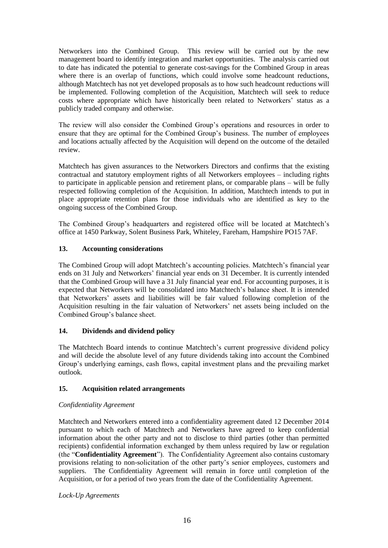Networkers into the Combined Group. This review will be carried out by the new management board to identify integration and market opportunities. The analysis carried out to date has indicated the potential to generate cost-savings for the Combined Group in areas where there is an overlap of functions, which could involve some headcount reductions, although Matchtech has not yet developed proposals as to how such headcount reductions will be implemented. Following completion of the Acquisition, Matchtech will seek to reduce costs where appropriate which have historically been related to Networkers' status as a publicly traded company and otherwise.

The review will also consider the Combined Group's operations and resources in order to ensure that they are optimal for the Combined Group's business. The number of employees and locations actually affected by the Acquisition will depend on the outcome of the detailed review.

Matchtech has given assurances to the Networkers Directors and confirms that the existing contractual and statutory employment rights of all Networkers employees – including rights to participate in applicable pension and retirement plans, or comparable plans – will be fully respected following completion of the Acquisition. In addition, Matchtech intends to put in place appropriate retention plans for those individuals who are identified as key to the ongoing success of the Combined Group.

The Combined Group's headquarters and registered office will be located at Matchtech's office at 1450 Parkway, Solent Business Park, Whiteley, Fareham, Hampshire PO15 7AF.

# **13. Accounting considerations**

The Combined Group will adopt Matchtech's accounting policies. Matchtech's financial year ends on 31 July and Networkers' financial year ends on 31 December. It is currently intended that the Combined Group will have a 31 July financial year end. For accounting purposes, it is expected that Networkers will be consolidated into Matchtech's balance sheet. It is intended that Networkers' assets and liabilities will be fair valued following completion of the Acquisition resulting in the fair valuation of Networkers' net assets being included on the Combined Group's balance sheet.

# **14. Dividends and dividend policy**

The Matchtech Board intends to continue Matchtech's current progressive dividend policy and will decide the absolute level of any future dividends taking into account the Combined Group's underlying earnings, cash flows, capital investment plans and the prevailing market outlook.

# **15. Acquisition related arrangements**

# *Confidentiality Agreement*

Matchtech and Networkers entered into a confidentiality agreement dated 12 December 2014 pursuant to which each of Matchtech and Networkers have agreed to keep confidential information about the other party and not to disclose to third parties (other than permitted recipients) confidential information exchanged by them unless required by law or regulation (the "**Confidentiality Agreement**"). The Confidentiality Agreement also contains customary provisions relating to non-solicitation of the other party's senior employees, customers and suppliers. The Confidentiality Agreement will remain in force until completion of the Acquisition, or for a period of two years from the date of the Confidentiality Agreement.

*Lock-Up Agreements*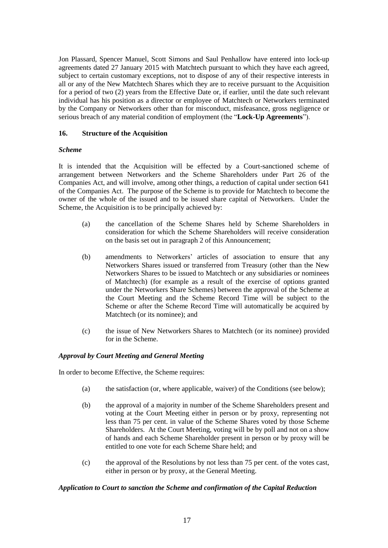Jon Plassard, Spencer Manuel, Scott Simons and Saul Penhallow have entered into lock-up agreements dated 27 January 2015 with Matchtech pursuant to which they have each agreed, subject to certain customary exceptions, not to dispose of any of their respective interests in all or any of the New Matchtech Shares which they are to receive pursuant to the Acquisition for a period of two (2) years from the Effective Date or, if earlier, until the date such relevant individual has his position as a director or employee of Matchtech or Networkers terminated by the Company or Networkers other than for misconduct, misfeasance, gross negligence or serious breach of any material condition of employment (the "**Lock-Up Agreements**").

# **16. Structure of the Acquisition**

# *Scheme*

It is intended that the Acquisition will be effected by a Court-sanctioned scheme of arrangement between Networkers and the Scheme Shareholders under Part 26 of the Companies Act, and will involve, among other things, a reduction of capital under section 641 of the Companies Act. The purpose of the Scheme is to provide for Matchtech to become the owner of the whole of the issued and to be issued share capital of Networkers. Under the Scheme, the Acquisition is to be principally achieved by:

- (a) the cancellation of the Scheme Shares held by Scheme Shareholders in consideration for which the Scheme Shareholders will receive consideration on the basis set out in paragraph 2 of this Announcement;
- (b) amendments to Networkers' articles of association to ensure that any Networkers Shares issued or transferred from Treasury (other than the New Networkers Shares to be issued to Matchtech or any subsidiaries or nominees of Matchtech) (for example as a result of the exercise of options granted under the Networkers Share Schemes) between the approval of the Scheme at the Court Meeting and the Scheme Record Time will be subject to the Scheme or after the Scheme Record Time will automatically be acquired by Matchtech (or its nominee); and
- (c) the issue of New Networkers Shares to Matchtech (or its nominee) provided for in the Scheme.

# *Approval by Court Meeting and General Meeting*

In order to become Effective, the Scheme requires:

- (a) the satisfaction (or, where applicable, waiver) of the Conditions (see below);
- (b) the approval of a majority in number of the Scheme Shareholders present and voting at the Court Meeting either in person or by proxy, representing not less than 75 per cent. in value of the Scheme Shares voted by those Scheme Shareholders. At the Court Meeting, voting will be by poll and not on a show of hands and each Scheme Shareholder present in person or by proxy will be entitled to one vote for each Scheme Share held; and
- (c) the approval of the Resolutions by not less than 75 per cent. of the votes cast, either in person or by proxy, at the General Meeting.

# *Application to Court to sanction the Scheme and confirmation of the Capital Reduction*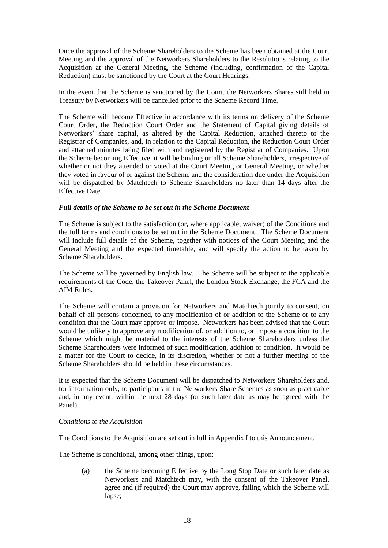Once the approval of the Scheme Shareholders to the Scheme has been obtained at the Court Meeting and the approval of the Networkers Shareholders to the Resolutions relating to the Acquisition at the General Meeting, the Scheme (including, confirmation of the Capital Reduction) must be sanctioned by the Court at the Court Hearings.

In the event that the Scheme is sanctioned by the Court, the Networkers Shares still held in Treasury by Networkers will be cancelled prior to the Scheme Record Time.

The Scheme will become Effective in accordance with its terms on delivery of the Scheme Court Order, the Reduction Court Order and the Statement of Capital giving details of Networkers' share capital, as altered by the Capital Reduction, attached thereto to the Registrar of Companies, and, in relation to the Capital Reduction, the Reduction Court Order and attached minutes being filed with and registered by the Registrar of Companies. Upon the Scheme becoming Effective, it will be binding on all Scheme Shareholders, irrespective of whether or not they attended or voted at the Court Meeting or General Meeting, or whether they voted in favour of or against the Scheme and the consideration due under the Acquisition will be dispatched by Matchtech to Scheme Shareholders no later than 14 days after the Effective Date.

# *Full details of the Scheme to be set out in the Scheme Document*

The Scheme is subject to the satisfaction (or, where applicable, waiver) of the Conditions and the full terms and conditions to be set out in the Scheme Document. The Scheme Document will include full details of the Scheme, together with notices of the Court Meeting and the General Meeting and the expected timetable, and will specify the action to be taken by Scheme Shareholders.

The Scheme will be governed by English law. The Scheme will be subject to the applicable requirements of the Code, the Takeover Panel, the London Stock Exchange, the FCA and the AIM Rules.

The Scheme will contain a provision for Networkers and Matchtech jointly to consent, on behalf of all persons concerned, to any modification of or addition to the Scheme or to any condition that the Court may approve or impose. Networkers has been advised that the Court would be unlikely to approve any modification of, or addition to, or impose a condition to the Scheme which might be material to the interests of the Scheme Shareholders unless the Scheme Shareholders were informed of such modification, addition or condition. It would be a matter for the Court to decide, in its discretion, whether or not a further meeting of the Scheme Shareholders should be held in these circumstances.

It is expected that the Scheme Document will be dispatched to Networkers Shareholders and, for information only, to participants in the Networkers Share Schemes as soon as practicable and, in any event, within the next 28 days (or such later date as may be agreed with the Panel).

# *Conditions to the Acquisition*

The Conditions to the Acquisition are set out in full in Appendix I to this Announcement.

The Scheme is conditional, among other things, upon:

(a) the Scheme becoming Effective by the Long Stop Date or such later date as Networkers and Matchtech may, with the consent of the Takeover Panel, agree and (if required) the Court may approve, failing which the Scheme will lapse;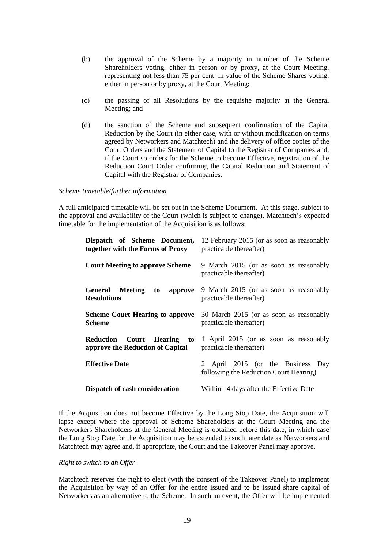- (b) the approval of the Scheme by a majority in number of the Scheme Shareholders voting, either in person or by proxy, at the Court Meeting, representing not less than 75 per cent. in value of the Scheme Shares voting, either in person or by proxy, at the Court Meeting;
- (c) the passing of all Resolutions by the requisite majority at the General Meeting; and
- (d) the sanction of the Scheme and subsequent confirmation of the Capital Reduction by the Court (in either case, with or without modification on terms agreed by Networkers and Matchtech) and the delivery of office copies of the Court Orders and the Statement of Capital to the Registrar of Companies and, if the Court so orders for the Scheme to become Effective, registration of the Reduction Court Order confirming the Capital Reduction and Statement of Capital with the Registrar of Companies.

#### *Scheme timetable/further information*

A full anticipated timetable will be set out in the Scheme Document. At this stage, subject to the approval and availability of the Court (which is subject to change), Matchtech's expected timetable for the implementation of the Acquisition is as follows:

| Dispatch of Scheme Document,<br>together with the Forms of Proxy | 12 February 2015 (or as soon as reasonably<br>practicable thereafter)       |
|------------------------------------------------------------------|-----------------------------------------------------------------------------|
| <b>Court Meeting to approve Scheme</b>                           | 9 March 2015 (or as soon as reasonably<br>practicable thereafter)           |
| <b>General</b> Meeting<br>approve<br>to<br><b>Resolutions</b>    | 9 March 2015 (or as soon as reasonably<br>practicable thereafter)           |
| <b>Scheme Court Hearing to approve</b><br><b>Scheme</b>          | 30 March 2015 (or as soon as reasonably<br>practicable thereafter)          |
| Reduction Court Hearing to<br>approve the Reduction of Capital   | 1 April 2015 (or as soon as reasonably<br>practicable thereafter)           |
| <b>Effective Date</b>                                            | 2 April 2015 (or the Business Day<br>following the Reduction Court Hearing) |
| Dispatch of cash consideration                                   | Within 14 days after the Effective Date                                     |

If the Acquisition does not become Effective by the Long Stop Date, the Acquisition will lapse except where the approval of Scheme Shareholders at the Court Meeting and the Networkers Shareholders at the General Meeting is obtained before this date, in which case the Long Stop Date for the Acquisition may be extended to such later date as Networkers and Matchtech may agree and, if appropriate, the Court and the Takeover Panel may approve.

### *Right to switch to an Offer*

Matchtech reserves the right to elect (with the consent of the Takeover Panel) to implement the Acquisition by way of an Offer for the entire issued and to be issued share capital of Networkers as an alternative to the Scheme. In such an event, the Offer will be implemented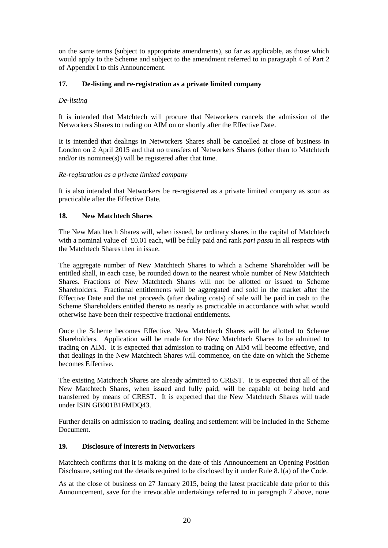on the same terms (subject to appropriate amendments), so far as applicable, as those which would apply to the Scheme and subject to the amendment referred to in paragraph 4 of Part 2 of Appendix I to this Announcement.

# **17. De-listing and re-registration as a private limited company**

# *De-listing*

It is intended that Matchtech will procure that Networkers cancels the admission of the Networkers Shares to trading on AIM on or shortly after the Effective Date.

It is intended that dealings in Networkers Shares shall be cancelled at close of business in London on 2 April 2015 and that no transfers of Networkers Shares (other than to Matchtech and/or its nominee(s)) will be registered after that time.

# *Re-registration as a private limited company*

It is also intended that Networkers be re-registered as a private limited company as soon as practicable after the Effective Date.

# **18. New Matchtech Shares**

The New Matchtech Shares will, when issued, be ordinary shares in the capital of Matchtech with a nominal value of £0.01 each, will be fully paid and rank *pari passu* in all respects with the Matchtech Shares then in issue.

The aggregate number of New Matchtech Shares to which a Scheme Shareholder will be entitled shall, in each case, be rounded down to the nearest whole number of New Matchtech Shares. Fractions of New Matchtech Shares will not be allotted or issued to Scheme Shareholders. Fractional entitlements will be aggregated and sold in the market after the Effective Date and the net proceeds (after dealing costs) of sale will be paid in cash to the Scheme Shareholders entitled thereto as nearly as practicable in accordance with what would otherwise have been their respective fractional entitlements.

Once the Scheme becomes Effective, New Matchtech Shares will be allotted to Scheme Shareholders. Application will be made for the New Matchtech Shares to be admitted to trading on AIM. It is expected that admission to trading on AIM will become effective, and that dealings in the New Matchtech Shares will commence, on the date on which the Scheme becomes Effective.

The existing Matchtech Shares are already admitted to CREST. It is expected that all of the New Matchtech Shares, when issued and fully paid, will be capable of being held and transferred by means of CREST. It is expected that the New Matchtech Shares will trade under ISIN GB001B1FMDQ43.

Further details on admission to trading, dealing and settlement will be included in the Scheme Document.

# **19. Disclosure of interests in Networkers**

Matchtech confirms that it is making on the date of this Announcement an Opening Position Disclosure, setting out the details required to be disclosed by it under Rule 8.1(a) of the Code.

As at the close of business on 27 January 2015, being the latest practicable date prior to this Announcement, save for the irrevocable undertakings referred to in paragraph 7 above, none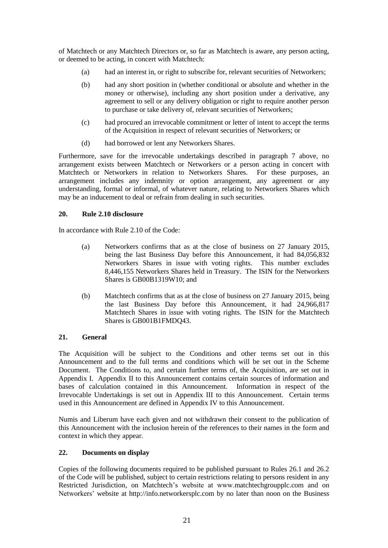of Matchtech or any Matchtech Directors or, so far as Matchtech is aware, any person acting, or deemed to be acting, in concert with Matchtech:

- (a) had an interest in, or right to subscribe for, relevant securities of Networkers;
- (b) had any short position in (whether conditional or absolute and whether in the money or otherwise), including any short position under a derivative, any agreement to sell or any delivery obligation or right to require another person to purchase or take delivery of, relevant securities of Networkers;
- (c) had procured an irrevocable commitment or letter of intent to accept the terms of the Acquisition in respect of relevant securities of Networkers; or
- (d) had borrowed or lent any Networkers Shares.

Furthermore, save for the irrevocable undertakings described in paragraph 7 above, no arrangement exists between Matchtech or Networkers or a person acting in concert with Matchtech or Networkers in relation to Networkers Shares. For these purposes, an arrangement includes any indemnity or option arrangement, any agreement or any understanding, formal or informal, of whatever nature, relating to Networkers Shares which may be an inducement to deal or refrain from dealing in such securities.

# **20. Rule 2.10 disclosure**

In accordance with Rule 2.10 of the Code:

- (a) Networkers confirms that as at the close of business on 27 January 2015, being the last Business Day before this Announcement, it had 84,056,832 Networkers Shares in issue with voting rights. This number excludes 8,446,155 Networkers Shares held in Treasury. The ISIN for the Networkers Shares is GB00B1319W10; and
- (b) Matchtech confirms that as at the close of business on 27 January 2015, being the last Business Day before this Announcement, it had 24,966,817 Matchtech Shares in issue with voting rights. The ISIN for the Matchtech Shares is GB001B1FMDQ43.

# **21. General**

The Acquisition will be subject to the Conditions and other terms set out in this Announcement and to the full terms and conditions which will be set out in the Scheme Document. The Conditions to, and certain further terms of, the Acquisition, are set out in Appendix I. Appendix II to this Announcement contains certain sources of information and bases of calculation contained in this Announcement. Information in respect of the Irrevocable Undertakings is set out in Appendix III to this Announcement. Certain terms used in this Announcement are defined in Appendix IV to this Announcement.

Numis and Liberum have each given and not withdrawn their consent to the publication of this Announcement with the inclusion herein of the references to their names in the form and context in which they appear.

# **22. Documents on display**

Copies of the following documents required to be published pursuant to Rules 26.1 and 26.2 of the Code will be published, subject to certain restrictions relating to persons resident in any Restricted Jurisdiction, on Matchtech's website at www.matchtechgroupplc.com and on Networkers' website at http://info.networkersplc.com by no later than noon on the Business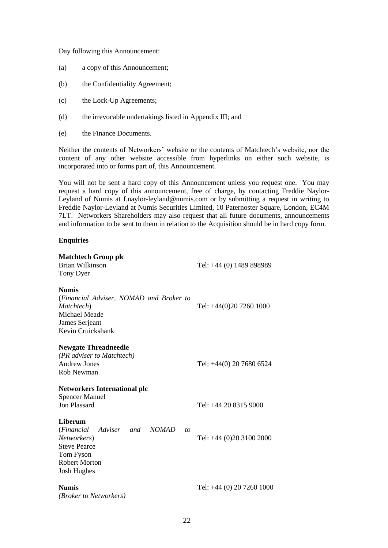Day following this Announcement:

- (a) a copy of this Announcement;
- (b) the Confidentiality Agreement;
- (c) the Lock-Up Agreements;
- (d) the irrevocable undertakings listed in Appendix III; and
- (e) the Finance Documents.

Neither the contents of Networkers' website or the contents of Matchtech's website, nor the content of any other website accessible from hyperlinks on either such website, is incorporated into or forms part of, this Announcement.

You will not be sent a hard copy of this Announcement unless you request one. You may request a hard copy of this announcement, free of charge, by contacting Freddie Naylor-Leyland of Numis at f.naylor-leyland@numis.com or by submitting a request in writing to Freddie Naylor-Leyland at Numis Securities Limited, 10 Paternoster Square, London, EC4M 7LT. Networkers Shareholders may also request that all future documents, announcements and information to be sent to them in relation to the Acquisition should be in hard copy form.

## **Enquiries**

| <b>Matchtech Group plc</b><br>Brian Wilkinson<br>Tony Dyer                                                                                                  | Tel: +44 (0) 1489 898989   |
|-------------------------------------------------------------------------------------------------------------------------------------------------------------|----------------------------|
| <b>Numis</b><br>(Financial Adviser, NOMAD and Broker to<br>Matchtech)<br>Michael Meade<br>James Serjeant<br>Kevin Cruickshank                               | Tel: +44(0)20 7260 1000    |
| <b>Newgate Threadneedle</b><br>(PR adviser to Matchtech)<br>Andrew Jones<br>Rob Newman                                                                      | Tel: $+44(0)$ 20 7680 6524 |
| <b>Networkers International plc</b><br><b>Spencer Manuel</b><br><b>Jon Plassard</b>                                                                         | Tel: $+442083159000$       |
| Liberum<br>(Financial<br>Adviser and<br><i>NOMAD</i><br>to<br>Networkers)<br><b>Steve Pearce</b><br>Tom Fyson<br><b>Robert Morton</b><br><b>Josh Hughes</b> | Tel: +44 (0)20 3100 2000   |
| <b>Numis</b><br><i>(Broker to Networkers)</i>                                                                                                               | Tel: +44 (0) 20 7260 1000  |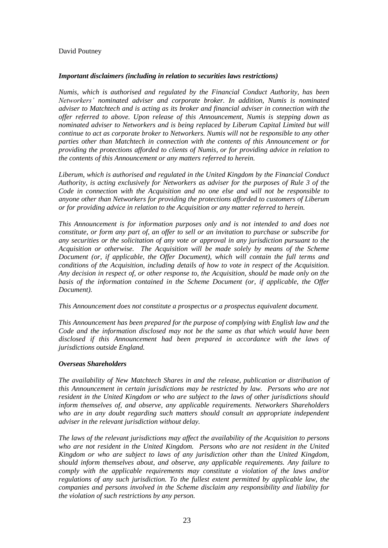# David Poutney

## *Important disclaimers (including in relation to securities laws restrictions)*

*Numis, which is authorised and regulated by the Financial Conduct Authority, has been Networkers' nominated adviser and corporate broker. In addition, Numis is nominated adviser to Matchtech and is acting as its broker and financial adviser in connection with the offer referred to above. Upon release of this Announcement, Numis is stepping down as nominated adviser to Networkers and is being replaced by Liberum Capital Limited but will continue to act as corporate broker to Networkers. Numis will not be responsible to any other parties other than Matchtech in connection with the contents of this Announcement or for providing the protections afforded to clients of Numis, or for providing advice in relation to the contents of this Announcement or any matters referred to herein.*

*Liberum, which is authorised and regulated in the United Kingdom by the Financial Conduct Authority, is acting exclusively for Networkers as adviser for the purposes of Rule 3 of the Code in connection with the Acquisition and no one else and will not be responsible to anyone other than Networkers for providing the protections afforded to customers of Liberum or for providing advice in relation to the Acquisition or any matter referred to herein.*

*This Announcement is for information purposes only and is not intended to and does not constitute, or form any part of, an offer to sell or an invitation to purchase or subscribe for any securities or the solicitation of any vote or approval in any jurisdiction pursuant to the Acquisition or otherwise. The Acquisition will be made solely by means of the Scheme Document (or, if applicable, the Offer Document), which will contain the full terms and conditions of the Acquisition, including details of how to vote in respect of the Acquisition. Any decision in respect of, or other response to, the Acquisition, should be made only on the basis of the information contained in the Scheme Document (or, if applicable, the Offer Document).*

*This Announcement does not constitute a prospectus or a prospectus equivalent document.*

*This Announcement has been prepared for the purpose of complying with English law and the Code and the information disclosed may not be the same as that which would have been disclosed if this Announcement had been prepared in accordance with the laws of jurisdictions outside England.*

# *Overseas Shareholders*

*The availability of New Matchtech Shares in and the release, publication or distribution of this Announcement in certain jurisdictions may be restricted by law. Persons who are not resident in the United Kingdom or who are subject to the laws of other jurisdictions should inform themselves of, and observe, any applicable requirements. Networkers Shareholders who are in any doubt regarding such matters should consult an appropriate independent adviser in the relevant jurisdiction without delay.*

*The laws of the relevant jurisdictions may affect the availability of the Acquisition to persons who are not resident in the United Kingdom. Persons who are not resident in the United Kingdom or who are subject to laws of any jurisdiction other than the United Kingdom, should inform themselves about, and observe, any applicable requirements. Any failure to comply with the applicable requirements may constitute a violation of the laws and/or regulations of any such jurisdiction. To the fullest extent permitted by applicable law, the companies and persons involved in the Scheme disclaim any responsibility and liability for the violation of such restrictions by any person.*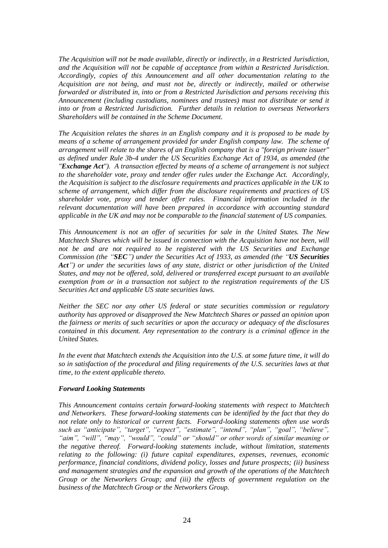*The Acquisition will not be made available, directly or indirectly, in a Restricted Jurisdiction, and the Acquisition will not be capable of acceptance from within a Restricted Jurisdiction. Accordingly, copies of this Announcement and all other documentation relating to the Acquisition are not being, and must not be, directly or indirectly, mailed or otherwise forwarded or distributed in, into or from a Restricted Jurisdiction and persons receiving this Announcement (including custodians, nominees and trustees) must not distribute or send it into or from a Restricted Jurisdiction. Further details in relation to overseas Networkers Shareholders will be contained in the Scheme Document.* 

*The Acquisition relates the shares in an English company and it is proposed to be made by means of a scheme of arrangement provided for under English company law. The scheme of arrangement will relate to the shares of an English company that is a "foreign private issuer" as defined under Rule 3b-4 under the US Securities Exchange Act of 1934, as amended (the "Exchange Act"). A transaction effected by means of a scheme of arrangement is not subject to the shareholder vote, proxy and tender offer rules under the Exchange Act. Accordingly, the Acquisition is subject to the disclosure requirements and practices applicable in the UK to scheme of arrangement, which differ from the disclosure requirements and practices of US shareholder vote, proxy and tender offer rules. Financial information included in the relevant documentation will have been prepared in accordance with accounting standard applicable in the UK and may not be comparable to the financial statement of US companies.*

*This Announcement is not an offer of securities for sale in the United States. The New Matchtech Shares which will be issued in connection with the Acquisition have not been, will not be and are not required to be registered with the US Securities and Exchange Commission (the "SEC") under the Securities Act of 1933, as amended (the "US Securities Act") or under the securities laws of any state, district or other jurisdiction of the United States, and may not be offered, sold, delivered or transferred except pursuant to an available exemption from or in a transaction not subject to the registration requirements of the US Securities Act and applicable US state securities laws.* 

*Neither the SEC nor any other US federal or state securities commission or regulatory authority has approved or disapproved the New Matchtech Shares or passed an opinion upon the fairness or merits of such securities or upon the accuracy or adequacy of the disclosures contained in this document. Any representation to the contrary is a criminal offence in the United States.*

*In the event that Matchtech extends the Acquisition into the U.S. at some future time, it will do so in satisfaction of the procedural and filing requirements of the U.S. securities laws at that time, to the extent applicable thereto.*

# *Forward Looking Statements*

*This Announcement contains certain forward-looking statements with respect to Matchtech and Networkers. These forward-looking statements can be identified by the fact that they do not relate only to historical or current facts. Forward-looking statements often use words such as "anticipate", "target", "expect", "estimate", "intend", "plan", "goal", "believe", "aim", "will", "may", "would", "could" or "should" or other words of similar meaning or the negative thereof. Forward-looking statements include, without limitation, statements relating to the following: (i) future capital expenditures, expenses, revenues, economic performance, financial conditions, dividend policy, losses and future prospects; (ii) business and management strategies and the expansion and growth of the operations of the Matchtech Group or the Networkers Group; and (iii) the effects of government regulation on the business of the Matchtech Group or the Networkers Group.*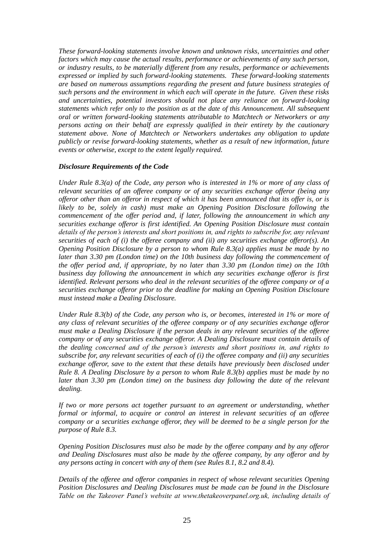*These forward-looking statements involve known and unknown risks, uncertainties and other factors which may cause the actual results, performance or achievements of any such person, or industry results, to be materially different from any results, performance or achievements expressed or implied by such forward-looking statements. These forward-looking statements are based on numerous assumptions regarding the present and future business strategies of such persons and the environment in which each will operate in the future. Given these risks and uncertainties, potential investors should not place any reliance on forward-looking statements which refer only to the position as at the date of this Announcement. All subsequent oral or written forward-looking statements attributable to Matchtech or Networkers or any persons acting on their behalf are expressly qualified in their entirety by the cautionary statement above. None of Matchtech or Networkers undertakes any obligation to update publicly or revise forward-looking statements, whether as a result of new information, future events or otherwise, except to the extent legally required.*

# *Disclosure Requirements of the Code*

*Under Rule 8.3(a) of the Code, any person who is interested in 1% or more of any class of relevant securities of an offeree company or of any securities exchange offeror (being any offeror other than an offeror in respect of which it has been announced that its offer is, or is likely to be, solely in cash) must make an Opening Position Disclosure following the commencement of the offer period and, if later, following the announcement in which any securities exchange offeror is first identified. An Opening Position Disclosure must contain details of the person's interests and short positions in, and rights to subscribe for, any relevant securities of each of (i) the offeree company and (ii) any securities exchange offeror(s). An Opening Position Disclosure by a person to whom Rule 8.3(a) applies must be made by no later than 3.30 pm (London time) on the 10th business day following the commencement of the offer period and, if appropriate, by no later than 3.30 pm (London time) on the 10th business day following the announcement in which any securities exchange offeror is first identified. Relevant persons who deal in the relevant securities of the offeree company or of a securities exchange offeror prior to the deadline for making an Opening Position Disclosure must instead make a Dealing Disclosure.*

*Under Rule 8.3(b) of the Code, any person who is, or becomes, interested in 1% or more of any class of relevant securities of the offeree company or of any securities exchange offeror must make a Dealing Disclosure if the person deals in any relevant securities of the offeree company or of any securities exchange offeror. A Dealing Disclosure must contain details of the dealing concerned and of the person's interests and short positions in, and rights to subscribe for, any relevant securities of each of (i) the offeree company and (ii) any securities exchange offeror, save to the extent that these details have previously been disclosed under Rule 8. A Dealing Disclosure by a person to whom Rule 8.3(b) applies must be made by no later than 3.30 pm (London time) on the business day following the date of the relevant dealing.*

*If two or more persons act together pursuant to an agreement or understanding, whether formal or informal, to acquire or control an interest in relevant securities of an offeree company or a securities exchange offeror, they will be deemed to be a single person for the purpose of Rule 8.3.*

*Opening Position Disclosures must also be made by the offeree company and by any offeror and Dealing Disclosures must also be made by the offeree company, by any offeror and by any persons acting in concert with any of them (see Rules 8.1, 8.2 and 8.4).*

*Details of the offeree and offeror companies in respect of whose relevant securities Opening Position Disclosures and Dealing Disclosures must be made can be found in the Disclosure Table on the Takeover Panel's website at www.thetakeoverpanel.org.uk, including details of*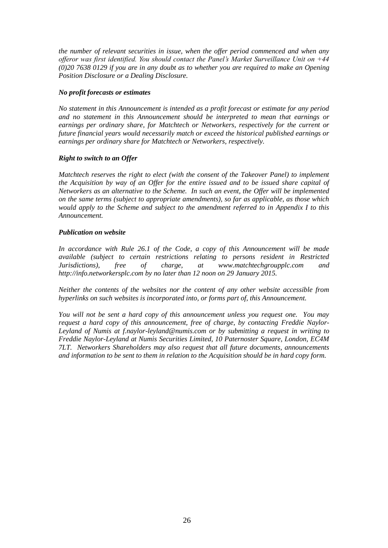*the number of relevant securities in issue, when the offer period commenced and when any offeror was first identified. You should contact the Panel's Market Surveillance Unit on +44 (0)20 7638 0129 if you are in any doubt as to whether you are required to make an Opening Position Disclosure or a Dealing Disclosure.*

# *No profit forecasts or estimates*

*No statement in this Announcement is intended as a profit forecast or estimate for any period and no statement in this Announcement should be interpreted to mean that earnings or earnings per ordinary share, for Matchtech or Networkers, respectively for the current or future financial years would necessarily match or exceed the historical published earnings or earnings per ordinary share for Matchtech or Networkers, respectively.*

# *Right to switch to an Offer*

*Matchtech reserves the right to elect (with the consent of the Takeover Panel) to implement the Acquisition by way of an Offer for the entire issued and to be issued share capital of Networkers as an alternative to the Scheme. In such an event, the Offer will be implemented on the same terms (subject to appropriate amendments), so far as applicable, as those which would apply to the Scheme and subject to the amendment referred to in Appendix I to this Announcement.*

# *Publication on website*

*In accordance with Rule 26.1 of the Code, a copy of this Announcement will be made available (subject to certain restrictions relating to persons resident in Restricted Jurisdictions), free of charge, at www.matchtechgroupplc.com and http://info.networkersplc.com by no later than 12 noon on 29 January 2015.*

*Neither the contents of the websites nor the content of any other website accessible from hyperlinks on such websites is incorporated into, or forms part of, this Announcement.*

*You will not be sent a hard copy of this announcement unless you request one. You may request a hard copy of this announcement, free of charge, by contacting Freddie Naylor-Leyland of Numis at f.naylor-leyland@numis.com or by submitting a request in writing to Freddie Naylor-Leyland at Numis Securities Limited, 10 Paternoster Square, London, EC4M 7LT. Networkers Shareholders may also request that all future documents, announcements and information to be sent to them in relation to the Acquisition should be in hard copy form.*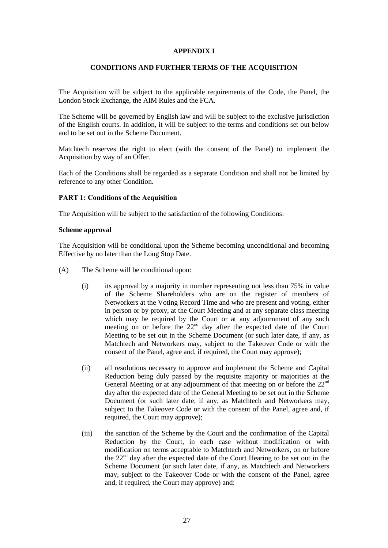# **APPENDIX I**

# **CONDITIONS AND FURTHER TERMS OF THE ACQUISITION**

The Acquisition will be subject to the applicable requirements of the Code, the Panel, the London Stock Exchange, the AIM Rules and the FCA.

The Scheme will be governed by English law and will be subject to the exclusive jurisdiction of the English courts. In addition, it will be subject to the terms and conditions set out below and to be set out in the Scheme Document.

Matchtech reserves the right to elect (with the consent of the Panel) to implement the Acquisition by way of an Offer.

Each of the Conditions shall be regarded as a separate Condition and shall not be limited by reference to any other Condition.

#### **PART 1: Conditions of the Acquisition**

The Acquisition will be subject to the satisfaction of the following Conditions:

#### **Scheme approval**

The Acquisition will be conditional upon the Scheme becoming unconditional and becoming Effective by no later than the Long Stop Date.

- (A) The Scheme will be conditional upon:
	- (i) its approval by a majority in number representing not less than 75% in value of the Scheme Shareholders who are on the register of members of Networkers at the Voting Record Time and who are present and voting, either in person or by proxy, at the Court Meeting and at any separate class meeting which may be required by the Court or at any adjournment of any such meeting on or before the 22<sup>nd</sup> day after the expected date of the Court Meeting to be set out in the Scheme Document (or such later date, if any, as Matchtech and Networkers may, subject to the Takeover Code or with the consent of the Panel, agree and, if required, the Court may approve);
	- (ii) all resolutions necessary to approve and implement the Scheme and Capital Reduction being duly passed by the requisite majority or majorities at the General Meeting or at any adjournment of that meeting on or before the 22<sup>nd</sup> day after the expected date of the General Meeting to be set out in the Scheme Document (or such later date, if any, as Matchtech and Networkers may, subject to the Takeover Code or with the consent of the Panel, agree and, if required, the Court may approve);
	- (iii) the sanction of the Scheme by the Court and the confirmation of the Capital Reduction by the Court, in each case without modification or with modification on terms acceptable to Matchtech and Networkers, on or before the  $22<sup>nd</sup>$  day after the expected date of the Court Hearing to be set out in the Scheme Document (or such later date, if any, as Matchtech and Networkers may, subject to the Takeover Code or with the consent of the Panel, agree and, if required, the Court may approve) and: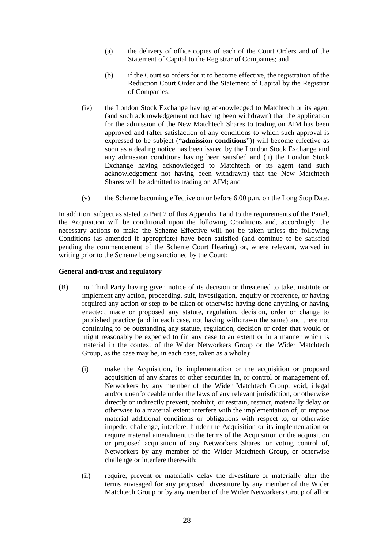- (a) the delivery of office copies of each of the Court Orders and of the Statement of Capital to the Registrar of Companies; and
- (b) if the Court so orders for it to become effective, the registration of the Reduction Court Order and the Statement of Capital by the Registrar of Companies;
- (iv) the London Stock Exchange having acknowledged to Matchtech or its agent (and such acknowledgement not having been withdrawn) that the application for the admission of the New Matchtech Shares to trading on AIM has been approved and (after satisfaction of any conditions to which such approval is expressed to be subject ("**admission conditions**")) will become effective as soon as a dealing notice has been issued by the London Stock Exchange and any admission conditions having been satisfied and (ii) the London Stock Exchange having acknowledged to Matchtech or its agent (and such acknowledgement not having been withdrawn) that the New Matchtech Shares will be admitted to trading on AIM; and
- (v) the Scheme becoming effective on or before 6.00 p.m. on the Long Stop Date.

In addition, subject as stated to Part 2 of this Appendix I and to the requirements of the Panel, the Acquisition will be conditional upon the following Conditions and, accordingly, the necessary actions to make the Scheme Effective will not be taken unless the following Conditions (as amended if appropriate) have been satisfied (and continue to be satisfied pending the commencement of the Scheme Court Hearing) or, where relevant, waived in writing prior to the Scheme being sanctioned by the Court:

# **General anti-trust and regulatory**

- (B) no Third Party having given notice of its decision or threatened to take, institute or implement any action, proceeding, suit, investigation, enquiry or reference, or having required any action or step to be taken or otherwise having done anything or having enacted, made or proposed any statute, regulation, decision, order or change to published practice (and in each case, not having withdrawn the same) and there not continuing to be outstanding any statute, regulation, decision or order that would or might reasonably be expected to (in any case to an extent or in a manner which is material in the context of the Wider Networkers Group or the Wider Matchtech Group, as the case may be, in each case, taken as a whole):
	- (i) make the Acquisition, its implementation or the acquisition or proposed acquisition of any shares or other securities in, or control or management of, Networkers by any member of the Wider Matchtech Group, void, illegal and/or unenforceable under the laws of any relevant jurisdiction, or otherwise directly or indirectly prevent, prohibit, or restrain, restrict, materially delay or otherwise to a material extent interfere with the implementation of, or impose material additional conditions or obligations with respect to, or otherwise impede, challenge, interfere, hinder the Acquisition or its implementation or require material amendment to the terms of the Acquisition or the acquisition or proposed acquisition of any Networkers Shares, or voting control of, Networkers by any member of the Wider Matchtech Group, or otherwise challenge or interfere therewith;
	- (ii) require, prevent or materially delay the divestiture or materially alter the terms envisaged for any proposed divestiture by any member of the Wider Matchtech Group or by any member of the Wider Networkers Group of all or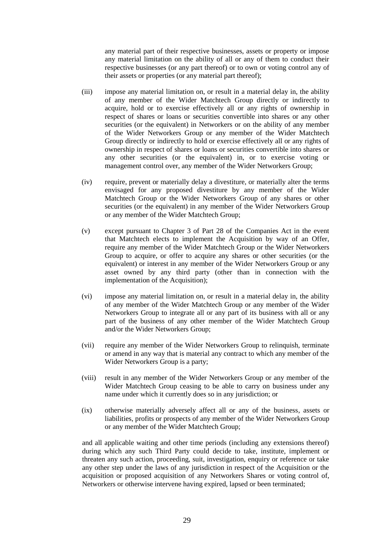any material part of their respective businesses, assets or property or impose any material limitation on the ability of all or any of them to conduct their respective businesses (or any part thereof) or to own or voting control any of their assets or properties (or any material part thereof);

- (iii) impose any material limitation on, or result in a material delay in, the ability of any member of the Wider Matchtech Group directly or indirectly to acquire, hold or to exercise effectively all or any rights of ownership in respect of shares or loans or securities convertible into shares or any other securities (or the equivalent) in Networkers or on the ability of any member of the Wider Networkers Group or any member of the Wider Matchtech Group directly or indirectly to hold or exercise effectively all or any rights of ownership in respect of shares or loans or securities convertible into shares or any other securities (or the equivalent) in, or to exercise voting or management control over, any member of the Wider Networkers Group;
- (iv) require, prevent or materially delay a divestiture, or materially alter the terms envisaged for any proposed divestiture by any member of the Wider Matchtech Group or the Wider Networkers Group of any shares or other securities (or the equivalent) in any member of the Wider Networkers Group or any member of the Wider Matchtech Group;
- (v) except pursuant to Chapter 3 of Part 28 of the Companies Act in the event that Matchtech elects to implement the Acquisition by way of an Offer, require any member of the Wider Matchtech Group or the Wider Networkers Group to acquire, or offer to acquire any shares or other securities (or the equivalent) or interest in any member of the Wider Networkers Group or any asset owned by any third party (other than in connection with the implementation of the Acquisition);
- (vi) impose any material limitation on, or result in a material delay in, the ability of any member of the Wider Matchtech Group or any member of the Wider Networkers Group to integrate all or any part of its business with all or any part of the business of any other member of the Wider Matchtech Group and/or the Wider Networkers Group;
- (vii) require any member of the Wider Networkers Group to relinquish, terminate or amend in any way that is material any contract to which any member of the Wider Networkers Group is a party;
- (viii) result in any member of the Wider Networkers Group or any member of the Wider Matchtech Group ceasing to be able to carry on business under any name under which it currently does so in any jurisdiction; or
- (ix) otherwise materially adversely affect all or any of the business, assets or liabilities, profits or prospects of any member of the Wider Networkers Group or any member of the Wider Matchtech Group;

and all applicable waiting and other time periods (including any extensions thereof) during which any such Third Party could decide to take, institute, implement or threaten any such action, proceeding, suit, investigation, enquiry or reference or take any other step under the laws of any jurisdiction in respect of the Acquisition or the acquisition or proposed acquisition of any Networkers Shares or voting control of, Networkers or otherwise intervene having expired, lapsed or been terminated;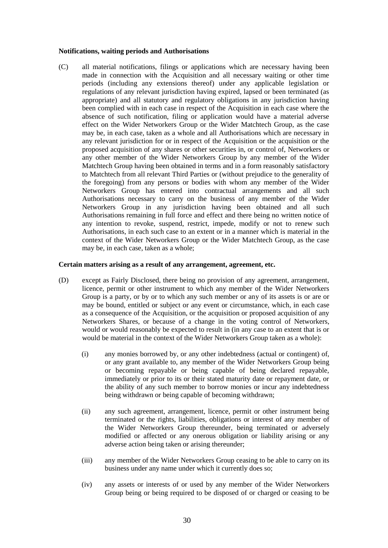#### **Notifications, waiting periods and Authorisations**

(C) all material notifications, filings or applications which are necessary having been made in connection with the Acquisition and all necessary waiting or other time periods (including any extensions thereof) under any applicable legislation or regulations of any relevant jurisdiction having expired, lapsed or been terminated (as appropriate) and all statutory and regulatory obligations in any jurisdiction having been complied with in each case in respect of the Acquisition in each case where the absence of such notification, filing or application would have a material adverse effect on the Wider Networkers Group or the Wider Matchtech Group, as the case may be, in each case, taken as a whole and all Authorisations which are necessary in any relevant jurisdiction for or in respect of the Acquisition or the acquisition or the proposed acquisition of any shares or other securities in, or control of, Networkers or any other member of the Wider Networkers Group by any member of the Wider Matchtech Group having been obtained in terms and in a form reasonably satisfactory to Matchtech from all relevant Third Parties or (without prejudice to the generality of the foregoing) from any persons or bodies with whom any member of the Wider Networkers Group has entered into contractual arrangements and all such Authorisations necessary to carry on the business of any member of the Wider Networkers Group in any jurisdiction having been obtained and all such Authorisations remaining in full force and effect and there being no written notice of any intention to revoke, suspend, restrict, impede, modify or not to renew such Authorisations, in each such case to an extent or in a manner which is material in the context of the Wider Networkers Group or the Wider Matchtech Group, as the case may be, in each case, taken as a whole;

#### **Certain matters arising as a result of any arrangement, agreement, etc.**

- (D) except as Fairly Disclosed, there being no provision of any agreement, arrangement, licence, permit or other instrument to which any member of the Wider Networkers Group is a party, or by or to which any such member or any of its assets is or are or may be bound, entitled or subject or any event or circumstance, which, in each case as a consequence of the Acquisition, or the acquisition or proposed acquisition of any Networkers Shares, or because of a change in the voting control of Networkers, would or would reasonably be expected to result in (in any case to an extent that is or would be material in the context of the Wider Networkers Group taken as a whole):
	- (i) any monies borrowed by, or any other indebtedness (actual or contingent) of, or any grant available to, any member of the Wider Networkers Group being or becoming repayable or being capable of being declared repayable, immediately or prior to its or their stated maturity date or repayment date, or the ability of any such member to borrow monies or incur any indebtedness being withdrawn or being capable of becoming withdrawn;
	- (ii) any such agreement, arrangement, licence, permit or other instrument being terminated or the rights, liabilities, obligations or interest of any member of the Wider Networkers Group thereunder, being terminated or adversely modified or affected or any onerous obligation or liability arising or any adverse action being taken or arising thereunder;
	- (iii) any member of the Wider Networkers Group ceasing to be able to carry on its business under any name under which it currently does so;
	- (iv) any assets or interests of or used by any member of the Wider Networkers Group being or being required to be disposed of or charged or ceasing to be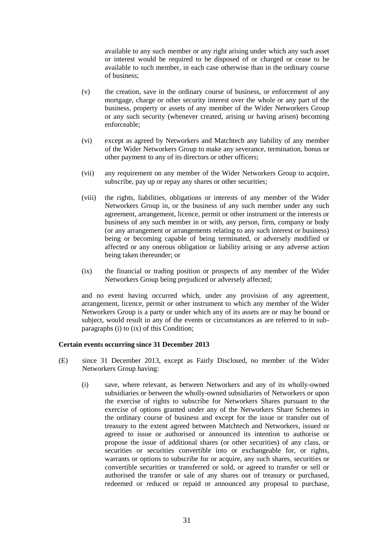available to any such member or any right arising under which any such asset or interest would be required to be disposed of or charged or cease to be available to such member, in each case otherwise than in the ordinary course of business;

- (v) the creation, save in the ordinary course of business, or enforcement of any mortgage, charge or other security interest over the whole or any part of the business, property or assets of any member of the Wider Networkers Group or any such security (whenever created, arising or having arisen) becoming enforceable;
- (vi) except as agreed by Networkers and Matchtech any liability of any member of the Wider Networkers Group to make any severance, termination, bonus or other payment to any of its directors or other officers;
- (vii) any requirement on any member of the Wider Networkers Group to acquire, subscribe, pay up or repay any shares or other securities;
- (viii) the rights, liabilities, obligations or interests of any member of the Wider Networkers Group in, or the business of any such member under any such agreement, arrangement, licence, permit or other instrument or the interests or business of any such member in or with, any person, firm, company or body (or any arrangement or arrangements relating to any such interest or business) being or becoming capable of being terminated, or adversely modified or affected or any onerous obligation or liability arising or any adverse action being taken thereunder; or
- (ix) the financial or trading position or prospects of any member of the Wider Networkers Group being prejudiced or adversely affected;

and no event having occurred which, under any provision of any agreement, arrangement, licence, permit or other instrument to which any member of the Wider Networkers Group is a party or under which any of its assets are or may be bound or subject, would result in any of the events or circumstances as are referred to in subparagraphs (i) to (ix) of this Condition;

#### **Certain events occurring since 31 December 2013**

- (E) since 31 December 2013, except as Fairly Disclosed, no member of the Wider Networkers Group having:
	- (i) save, where relevant, as between Networkers and any of its wholly-owned subsidiaries or between the wholly-owned subsidiaries of Networkers or upon the exercise of rights to subscribe for Networkers Shares pursuant to the exercise of options granted under any of the Networkers Share Schemes in the ordinary course of business and except for the issue or transfer out of treasury to the extent agreed between Matchtech and Networkers, issued or agreed to issue or authorised or announced its intention to authorise or propose the issue of additional shares (or other securities) of any class, or securities or securities convertible into or exchangeable for, or rights, warrants or options to subscribe for or acquire, any such shares, securities or convertible securities or transferred or sold, or agreed to transfer or sell or authorised the transfer or sale of any shares out of treasury or purchased, redeemed or reduced or repaid or announced any proposal to purchase,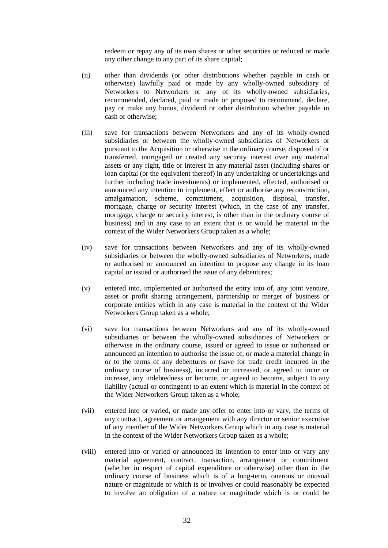redeem or repay any of its own shares or other securities or reduced or made any other change to any part of its share capital;

- (ii) other than dividends (or other distributions whether payable in cash or otherwise) lawfully paid or made by any wholly-owned subsidiary of Networkers to Networkers or any of its wholly-owned subsidiaries, recommended, declared, paid or made or proposed to recommend, declare, pay or make any bonus, dividend or other distribution whether payable in cash or otherwise;
- (iii) save for transactions between Networkers and any of its wholly-owned subsidiaries or between the wholly-owned subsidiaries of Networkers or pursuant to the Acquisition or otherwise in the ordinary course, disposed of or transferred, mortgaged or created any security interest over any material assets or any right, title or interest in any material asset (including shares or loan capital (or the equivalent thereof) in any undertaking or undertakings and further including trade investments) or implemented, effected, authorised or announced any intention to implement, effect or authorise any reconstruction, amalgamation, scheme, commitment, acquisition, disposal, transfer, mortgage, charge or security interest (which, in the case of any transfer, mortgage, charge or security interest, is other than in the ordinary course of business) and in any case to an extent that is or would be material in the context of the Wider Networkers Group taken as a whole;
- (iv) save for transactions between Networkers and any of its wholly-owned subsidiaries or between the wholly-owned subsidiaries of Networkers, made or authorised or announced an intention to propose any change in its loan capital or issued or authorised the issue of any debentures;
- (v) entered into, implemented or authorised the entry into of, any joint venture, asset or profit sharing arrangement, partnership or merger of business or corporate entities which in any case is material in the context of the Wider Networkers Group taken as a whole;
- (vi) save for transactions between Networkers and any of its wholly-owned subsidiaries or between the wholly-owned subsidiaries of Networkers or otherwise in the ordinary course, issued or agreed to issue or authorised or announced an intention to authorise the issue of, or made a material change in or to the terms of any debentures or (save for trade credit incurred in the ordinary course of business), incurred or increased, or agreed to incur or increase, any indebtedness or become, or agreed to become, subject to any liability (actual or contingent) to an extent which is material in the context of the Wider Networkers Group taken as a whole;
- (vii) entered into or varied, or made any offer to enter into or vary, the terms of any contract, agreement or arrangement with any director or senior executive of any member of the Wider Networkers Group which in any case is material in the context of the Wider Networkers Group taken as a whole;
- (viii) entered into or varied or announced its intention to enter into or vary any material agreement, contract, transaction, arrangement or commitment (whether in respect of capital expenditure or otherwise) other than in the ordinary course of business which is of a long-term, onerous or unusual nature or magnitude or which is or involves or could reasonably be expected to involve an obligation of a nature or magnitude which is or could be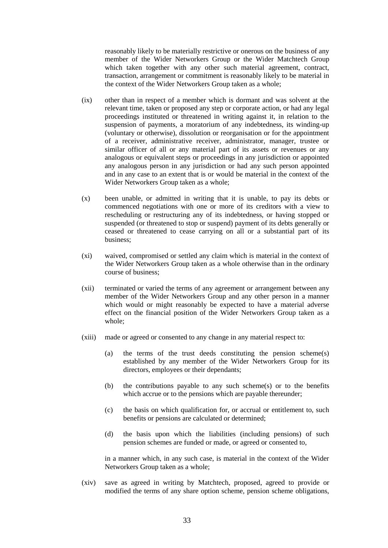reasonably likely to be materially restrictive or onerous on the business of any member of the Wider Networkers Group or the Wider Matchtech Group which taken together with any other such material agreement, contract, transaction, arrangement or commitment is reasonably likely to be material in the context of the Wider Networkers Group taken as a whole;

- (ix) other than in respect of a member which is dormant and was solvent at the relevant time, taken or proposed any step or corporate action, or had any legal proceedings instituted or threatened in writing against it, in relation to the suspension of payments, a moratorium of any indebtedness, its winding-up (voluntary or otherwise), dissolution or reorganisation or for the appointment of a receiver, administrative receiver, administrator, manager, trustee or similar officer of all or any material part of its assets or revenues or any analogous or equivalent steps or proceedings in any jurisdiction or appointed any analogous person in any jurisdiction or had any such person appointed and in any case to an extent that is or would be material in the context of the Wider Networkers Group taken as a whole;
- (x) been unable, or admitted in writing that it is unable, to pay its debts or commenced negotiations with one or more of its creditors with a view to rescheduling or restructuring any of its indebtedness, or having stopped or suspended (or threatened to stop or suspend) payment of its debts generally or ceased or threatened to cease carrying on all or a substantial part of its business;
- (xi) waived, compromised or settled any claim which is material in the context of the Wider Networkers Group taken as a whole otherwise than in the ordinary course of business;
- (xii) terminated or varied the terms of any agreement or arrangement between any member of the Wider Networkers Group and any other person in a manner which would or might reasonably be expected to have a material adverse effect on the financial position of the Wider Networkers Group taken as a whole;
- (xiii) made or agreed or consented to any change in any material respect to:
	- (a) the terms of the trust deeds constituting the pension scheme(s) established by any member of the Wider Networkers Group for its directors, employees or their dependants;
	- (b) the contributions payable to any such scheme(s) or to the benefits which accrue or to the pensions which are payable thereunder;
	- (c) the basis on which qualification for, or accrual or entitlement to, such benefits or pensions are calculated or determined;
	- (d) the basis upon which the liabilities (including pensions) of such pension schemes are funded or made, or agreed or consented to,

in a manner which, in any such case, is material in the context of the Wider Networkers Group taken as a whole;

(xiv) save as agreed in writing by Matchtech, proposed, agreed to provide or modified the terms of any share option scheme, pension scheme obligations,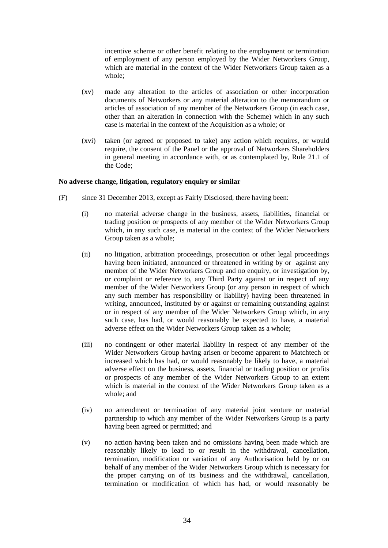incentive scheme or other benefit relating to the employment or termination of employment of any person employed by the Wider Networkers Group, which are material in the context of the Wider Networkers Group taken as a whole;

- (xv) made any alteration to the articles of association or other incorporation documents of Networkers or any material alteration to the memorandum or articles of association of any member of the Networkers Group (in each case, other than an alteration in connection with the Scheme) which in any such case is material in the context of the Acquisition as a whole; or
- (xvi) taken (or agreed or proposed to take) any action which requires, or would require, the consent of the Panel or the approval of Networkers Shareholders in general meeting in accordance with, or as contemplated by, Rule 21.1 of the Code;

## **No adverse change, litigation, regulatory enquiry or similar**

- (F) since 31 December 2013, except as Fairly Disclosed, there having been:
	- (i) no material adverse change in the business, assets, liabilities, financial or trading position or prospects of any member of the Wider Networkers Group which, in any such case, is material in the context of the Wider Networkers Group taken as a whole;
	- (ii) no litigation, arbitration proceedings, prosecution or other legal proceedings having been initiated, announced or threatened in writing by or against any member of the Wider Networkers Group and no enquiry, or investigation by, or complaint or reference to, any Third Party against or in respect of any member of the Wider Networkers Group (or any person in respect of which any such member has responsibility or liability) having been threatened in writing, announced, instituted by or against or remaining outstanding against or in respect of any member of the Wider Networkers Group which, in any such case, has had, or would reasonably be expected to have, a material adverse effect on the Wider Networkers Group taken as a whole;
	- (iii) no contingent or other material liability in respect of any member of the Wider Networkers Group having arisen or become apparent to Matchtech or increased which has had, or would reasonably be likely to have, a material adverse effect on the business, assets, financial or trading position or profits or prospects of any member of the Wider Networkers Group to an extent which is material in the context of the Wider Networkers Group taken as a whole; and
	- (iv) no amendment or termination of any material joint venture or material partnership to which any member of the Wider Networkers Group is a party having been agreed or permitted; and
	- (v) no action having been taken and no omissions having been made which are reasonably likely to lead to or result in the withdrawal, cancellation, termination, modification or variation of any Authorisation held by or on behalf of any member of the Wider Networkers Group which is necessary for the proper carrying on of its business and the withdrawal, cancellation, termination or modification of which has had, or would reasonably be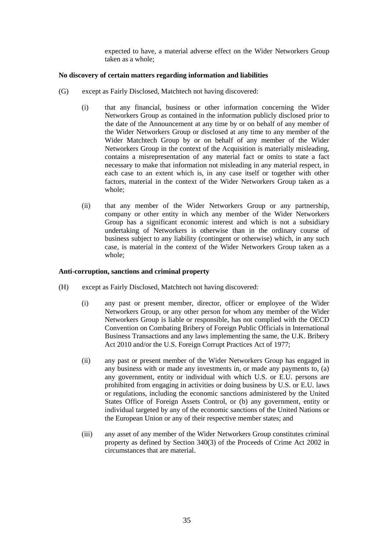expected to have, a material adverse effect on the Wider Networkers Group taken as a whole;

# **No discovery of certain matters regarding information and liabilities**

- (G) except as Fairly Disclosed, Matchtech not having discovered:
	- (i) that any financial, business or other information concerning the Wider Networkers Group as contained in the information publicly disclosed prior to the date of the Announcement at any time by or on behalf of any member of the Wider Networkers Group or disclosed at any time to any member of the Wider Matchtech Group by or on behalf of any member of the Wider Networkers Group in the context of the Acquisition is materially misleading, contains a misrepresentation of any material fact or omits to state a fact necessary to make that information not misleading in any material respect, in each case to an extent which is, in any case itself or together with other factors, material in the context of the Wider Networkers Group taken as a whole;
	- (ii) that any member of the Wider Networkers Group or any partnership, company or other entity in which any member of the Wider Networkers Group has a significant economic interest and which is not a subsidiary undertaking of Networkers is otherwise than in the ordinary course of business subject to any liability (contingent or otherwise) which, in any such case, is material in the context of the Wider Networkers Group taken as a whole;

## **Anti-corruption, sanctions and criminal property**

- (H) except as Fairly Disclosed, Matchtech not having discovered:
	- (i) any past or present member, director, officer or employee of the Wider Networkers Group, or any other person for whom any member of the Wider Networkers Group is liable or responsible, has not complied with the OECD Convention on Combating Bribery of Foreign Public Officials in International Business Transactions and any laws implementing the same, the U.K. Bribery Act 2010 and/or the U.S. Foreign Corrupt Practices Act of 1977;
	- (ii) any past or present member of the Wider Networkers Group has engaged in any business with or made any investments in, or made any payments to, (a) any government, entity or individual with which U.S. or E.U. persons are prohibited from engaging in activities or doing business by U.S. or E.U. laws or regulations, including the economic sanctions administered by the United States Office of Foreign Assets Control, or (b) any government, entity or individual targeted by any of the economic sanctions of the United Nations or the European Union or any of their respective member states; and
	- (iii) any asset of any member of the Wider Networkers Group constitutes criminal property as defined by Section 340(3) of the Proceeds of Crime Act 2002 in circumstances that are material.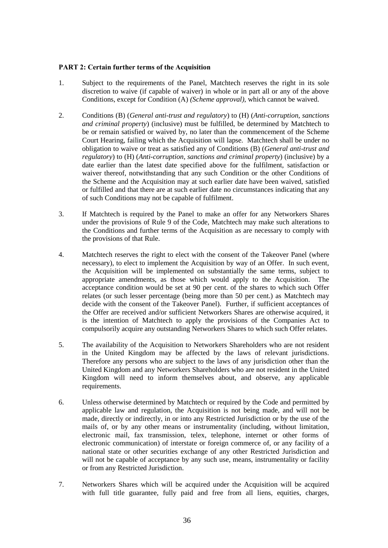# **PART 2: Certain further terms of the Acquisition**

- 1. Subject to the requirements of the Panel, Matchtech reserves the right in its sole discretion to waive (if capable of waiver) in whole or in part all or any of the above Conditions, except for Condition (A) *(Scheme approval)*, which cannot be waived.
- 2. Conditions (B) (*General anti-trust and regulatory*) to (H) (*Anti-corruption, sanctions and criminal property*) (inclusive) must be fulfilled, be determined by Matchtech to be or remain satisfied or waived by, no later than the commencement of the Scheme Court Hearing, failing which the Acquisition will lapse. Matchtech shall be under no obligation to waive or treat as satisfied any of Conditions (B) (*General anti-trust and regulatory*) to (H) (*Anti-corruption, sanctions and criminal property*) (inclusive) by a date earlier than the latest date specified above for the fulfilment, satisfaction or waiver thereof, notwithstanding that any such Condition or the other Conditions of the Scheme and the Acquisition may at such earlier date have been waived, satisfied or fulfilled and that there are at such earlier date no circumstances indicating that any of such Conditions may not be capable of fulfilment.
- 3. If Matchtech is required by the Panel to make an offer for any Networkers Shares under the provisions of Rule 9 of the Code, Matchtech may make such alterations to the Conditions and further terms of the Acquisition as are necessary to comply with the provisions of that Rule.
- 4. Matchtech reserves the right to elect with the consent of the Takeover Panel (where necessary), to elect to implement the Acquisition by way of an Offer. In such event, the Acquisition will be implemented on substantially the same terms, subject to appropriate amendments, as those which would apply to the Acquisition. The acceptance condition would be set at 90 per cent. of the shares to which such Offer relates (or such lesser percentage (being more than 50 per cent.) as Matchtech may decide with the consent of the Takeover Panel). Further, if sufficient acceptances of the Offer are received and/or sufficient Networkers Shares are otherwise acquired, it is the intention of Matchtech to apply the provisions of the Companies Act to compulsorily acquire any outstanding Networkers Shares to which such Offer relates.
- 5. The availability of the Acquisition to Networkers Shareholders who are not resident in the United Kingdom may be affected by the laws of relevant jurisdictions. Therefore any persons who are subject to the laws of any jurisdiction other than the United Kingdom and any Networkers Shareholders who are not resident in the United Kingdom will need to inform themselves about, and observe, any applicable requirements.
- 6. Unless otherwise determined by Matchtech or required by the Code and permitted by applicable law and regulation, the Acquisition is not being made, and will not be made, directly or indirectly, in or into any Restricted Jurisdiction or by the use of the mails of, or by any other means or instrumentality (including, without limitation, electronic mail, fax transmission, telex, telephone, internet or other forms of electronic communication) of interstate or foreign commerce of, or any facility of a national state or other securities exchange of any other Restricted Jurisdiction and will not be capable of acceptance by any such use, means, instrumentality or facility or from any Restricted Jurisdiction.
- 7. Networkers Shares which will be acquired under the Acquisition will be acquired with full title guarantee, fully paid and free from all liens, equities, charges,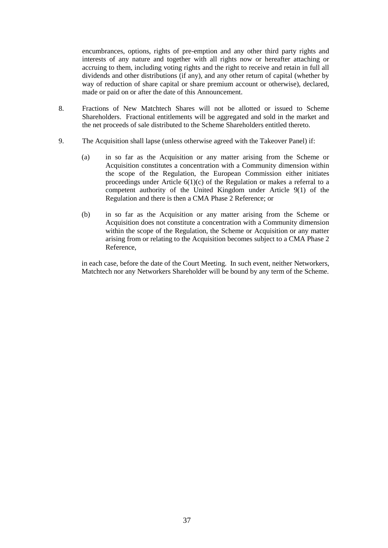encumbrances, options, rights of pre-emption and any other third party rights and interests of any nature and together with all rights now or hereafter attaching or accruing to them, including voting rights and the right to receive and retain in full all dividends and other distributions (if any), and any other return of capital (whether by way of reduction of share capital or share premium account or otherwise), declared, made or paid on or after the date of this Announcement.

- 8. Fractions of New Matchtech Shares will not be allotted or issued to Scheme Shareholders. Fractional entitlements will be aggregated and sold in the market and the net proceeds of sale distributed to the Scheme Shareholders entitled thereto.
- 9. The Acquisition shall lapse (unless otherwise agreed with the Takeover Panel) if:
	- (a) in so far as the Acquisition or any matter arising from the Scheme or Acquisition constitutes a concentration with a Community dimension within the scope of the Regulation, the European Commission either initiates proceedings under Article  $6(1)(c)$  of the Regulation or makes a referral to a competent authority of the United Kingdom under Article 9(1) of the Regulation and there is then a CMA Phase 2 Reference; or
	- (b) in so far as the Acquisition or any matter arising from the Scheme or Acquisition does not constitute a concentration with a Community dimension within the scope of the Regulation, the Scheme or Acquisition or any matter arising from or relating to the Acquisition becomes subject to a CMA Phase 2 Reference,

in each case, before the date of the Court Meeting. In such event, neither Networkers, Matchtech nor any Networkers Shareholder will be bound by any term of the Scheme.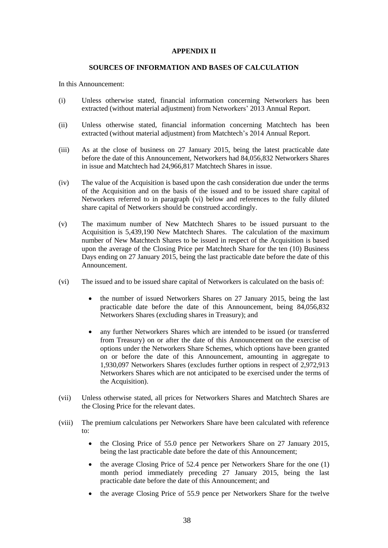# **APPENDIX II**

## **SOURCES OF INFORMATION AND BASES OF CALCULATION**

In this Announcement:

- (i) Unless otherwise stated, financial information concerning Networkers has been extracted (without material adjustment) from Networkers' 2013 Annual Report.
- (ii) Unless otherwise stated, financial information concerning Matchtech has been extracted (without material adjustment) from Matchtech's 2014 Annual Report.
- (iii) As at the close of business on 27 January 2015, being the latest practicable date before the date of this Announcement, Networkers had 84,056,832 Networkers Shares in issue and Matchtech had 24,966,817 Matchtech Shares in issue.
- (iv) The value of the Acquisition is based upon the cash consideration due under the terms of the Acquisition and on the basis of the issued and to be issued share capital of Networkers referred to in paragraph (vi) below and references to the fully diluted share capital of Networkers should be construed accordingly.
- (v) The maximum number of New Matchtech Shares to be issued pursuant to the Acquisition is 5,439,190 New Matchtech Shares. The calculation of the maximum number of New Matchtech Shares to be issued in respect of the Acquisition is based upon the average of the Closing Price per Matchtech Share for the ten (10) Business Days ending on 27 January 2015, being the last practicable date before the date of this Announcement.
- (vi) The issued and to be issued share capital of Networkers is calculated on the basis of:
	- the number of issued Networkers Shares on 27 January 2015, being the last practicable date before the date of this Announcement, being 84,056,832 Networkers Shares (excluding shares in Treasury); and
	- any further Networkers Shares which are intended to be issued (or transferred from Treasury) on or after the date of this Announcement on the exercise of options under the Networkers Share Schemes, which options have been granted on or before the date of this Announcement, amounting in aggregate to 1,930,097 Networkers Shares (excludes further options in respect of 2,972,913 Networkers Shares which are not anticipated to be exercised under the terms of the Acquisition).
- (vii) Unless otherwise stated, all prices for Networkers Shares and Matchtech Shares are the Closing Price for the relevant dates.
- (viii) The premium calculations per Networkers Share have been calculated with reference to:
	- the Closing Price of 55.0 pence per Networkers Share on 27 January 2015, being the last practicable date before the date of this Announcement;
	- the average Closing Price of 52.4 pence per Networkers Share for the one (1) month period immediately preceding 27 January 2015, being the last practicable date before the date of this Announcement; and
	- the average Closing Price of 55.9 pence per Networkers Share for the twelve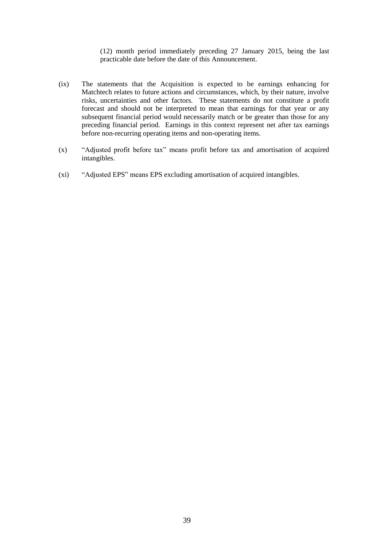(12) month period immediately preceding 27 January 2015, being the last practicable date before the date of this Announcement.

- (ix) The statements that the Acquisition is expected to be earnings enhancing for Matchtech relates to future actions and circumstances, which, by their nature, involve risks, uncertainties and other factors. These statements do not constitute a profit forecast and should not be interpreted to mean that earnings for that year or any subsequent financial period would necessarily match or be greater than those for any preceding financial period. Earnings in this context represent net after tax earnings before non-recurring operating items and non-operating items.
- (x) "Adjusted profit before tax" means profit before tax and amortisation of acquired intangibles.
- (xi) "Adjusted EPS" means EPS excluding amortisation of acquired intangibles.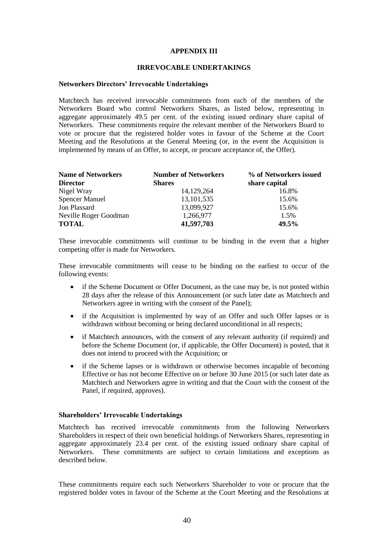## **APPENDIX III**

# **IRREVOCABLE UNDERTAKINGS**

#### **Networkers Directors' Irrevocable Undertakings**

Matchtech has received irrevocable commitments from each of the members of the Networkers Board who control Networkers Shares, as listed below, representing in aggregate approximately 49.5 per cent. of the existing issued ordinary share capital of Networkers. These commitments require the relevant member of the Networkers Board to vote or procure that the registered holder votes in favour of the Scheme at the Court Meeting and the Resolutions at the General Meeting (or, in the event the Acquisition is implemented by means of an Offer, to accept, or procure acceptance of, the Offer).

| <b>Name of Networkers</b> | <b>Number of Networkers</b> | % of Networkers issued |
|---------------------------|-----------------------------|------------------------|
| <b>Director</b>           | <b>Shares</b>               | share capital          |
| Nigel Wray                | 14,129,264                  | 16.8%                  |
| <b>Spencer Manuel</b>     | 13, 101, 535                | 15.6%                  |
| Jon Plassard              | 13,099,927                  | 15.6%                  |
| Neville Roger Goodman     | 1,266,977                   | 1.5%                   |
| <b>TOTAL</b>              | 41,597,703                  | 49.5%                  |

These irrevocable commitments will continue to be binding in the event that a higher competing offer is made for Networkers.

These irrevocable commitments will cease to be binding on the earliest to occur of the following events:

- if the Scheme Document or Offer Document, as the case may be, is not posted within 28 days after the release of this Announcement (or such later date as Matchtech and Networkers agree in writing with the consent of the Panel);
- if the Acquisition is implemented by way of an Offer and such Offer lapses or is withdrawn without becoming or being declared unconditional in all respects;
- if Matchtech announces, with the consent of any relevant authority (if required) and before the Scheme Document (or, if applicable, the Offer Document) is posted, that it does not intend to proceed with the Acquisition; or
- if the Scheme lapses or is withdrawn or otherwise becomes incapable of becoming Effective or has not become Effective on or before 30 June 2015 (or such later date as Matchtech and Networkers agree in writing and that the Court with the consent of the Panel, if required, approves).

#### **Shareholders' Irrevocable Undertakings**

Matchtech has received irrevocable commitments from the following Networkers Shareholders in respect of their own beneficial holdings of Networkers Shares, representing in aggregate approximately 23.4 per cent. of the existing issued ordinary share capital of Networkers. These commitments are subject to certain limitations and exceptions as described below.

These commitments require each such Networkers Shareholder to vote or procure that the registered holder votes in favour of the Scheme at the Court Meeting and the Resolutions at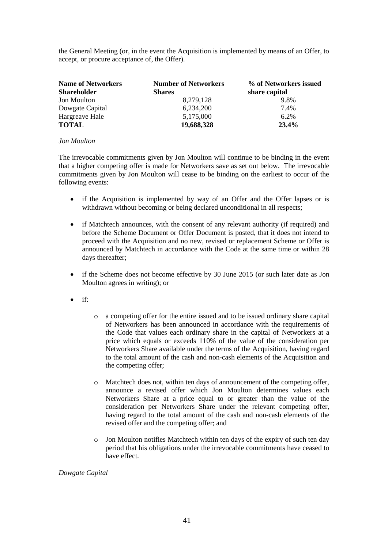the General Meeting (or, in the event the Acquisition is implemented by means of an Offer, to accept, or procure acceptance of, the Offer).

| <b>Name of Networkers</b><br><b>Shareholder</b> | <b>Number of Networkers</b><br><b>Shares</b> | % of Networkers issued<br>share capital |
|-------------------------------------------------|----------------------------------------------|-----------------------------------------|
| <b>Jon Moulton</b>                              | 8,279,128                                    | 9.8%                                    |
| Dowgate Capital                                 | 6,234,200                                    | 7.4%                                    |
| Hargreave Hale                                  | 5,175,000                                    | $6.2\%$                                 |
| <b>TOTAL</b>                                    | 19,688,328                                   | 23.4%                                   |

# *Jon Moulton*

The irrevocable commitments given by Jon Moulton will continue to be binding in the event that a higher competing offer is made for Networkers save as set out below. The irrevocable commitments given by Jon Moulton will cease to be binding on the earliest to occur of the following events:

- if the Acquisition is implemented by way of an Offer and the Offer lapses or is withdrawn without becoming or being declared unconditional in all respects;
- if Matchtech announces, with the consent of any relevant authority (if required) and before the Scheme Document or Offer Document is posted, that it does not intend to proceed with the Acquisition and no new, revised or replacement Scheme or Offer is announced by Matchtech in accordance with the Code at the same time or within 28 days thereafter:
- if the Scheme does not become effective by 30 June 2015 (or such later date as Jon Moulton agrees in writing); or
- $\bullet$  if:
- o a competing offer for the entire issued and to be issued ordinary share capital of Networkers has been announced in accordance with the requirements of the Code that values each ordinary share in the capital of Networkers at a price which equals or exceeds 110% of the value of the consideration per Networkers Share available under the terms of the Acquisition, having regard to the total amount of the cash and non-cash elements of the Acquisition and the competing offer;
- o Matchtech does not, within ten days of announcement of the competing offer, announce a revised offer which Jon Moulton determines values each Networkers Share at a price equal to or greater than the value of the consideration per Networkers Share under the relevant competing offer, having regard to the total amount of the cash and non-cash elements of the revised offer and the competing offer; and
- o Jon Moulton notifies Matchtech within ten days of the expiry of such ten day period that his obligations under the irrevocable commitments have ceased to have effect.

# *Dowgate Capital*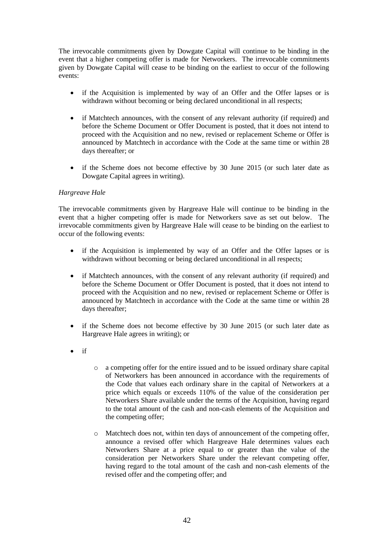The irrevocable commitments given by Dowgate Capital will continue to be binding in the event that a higher competing offer is made for Networkers. The irrevocable commitments given by Dowgate Capital will cease to be binding on the earliest to occur of the following events:

- if the Acquisition is implemented by way of an Offer and the Offer lapses or is withdrawn without becoming or being declared unconditional in all respects;
- if Matchtech announces, with the consent of any relevant authority (if required) and before the Scheme Document or Offer Document is posted, that it does not intend to proceed with the Acquisition and no new, revised or replacement Scheme or Offer is announced by Matchtech in accordance with the Code at the same time or within 28 days thereafter; or
- if the Scheme does not become effective by 30 June 2015 (or such later date as Dowgate Capital agrees in writing).

# *Hargreave Hale*

The irrevocable commitments given by Hargreave Hale will continue to be binding in the event that a higher competing offer is made for Networkers save as set out below. The irrevocable commitments given by Hargreave Hale will cease to be binding on the earliest to occur of the following events:

- if the Acquisition is implemented by way of an Offer and the Offer lapses or is withdrawn without becoming or being declared unconditional in all respects;
- if Matchtech announces, with the consent of any relevant authority (if required) and before the Scheme Document or Offer Document is posted, that it does not intend to proceed with the Acquisition and no new, revised or replacement Scheme or Offer is announced by Matchtech in accordance with the Code at the same time or within 28 days thereafter;
- if the Scheme does not become effective by 30 June 2015 (or such later date as Hargreave Hale agrees in writing); or
- $\bullet$  if
- o a competing offer for the entire issued and to be issued ordinary share capital of Networkers has been announced in accordance with the requirements of the Code that values each ordinary share in the capital of Networkers at a price which equals or exceeds 110% of the value of the consideration per Networkers Share available under the terms of the Acquisition, having regard to the total amount of the cash and non-cash elements of the Acquisition and the competing offer;
- o Matchtech does not, within ten days of announcement of the competing offer, announce a revised offer which Hargreave Hale determines values each Networkers Share at a price equal to or greater than the value of the consideration per Networkers Share under the relevant competing offer, having regard to the total amount of the cash and non-cash elements of the revised offer and the competing offer; and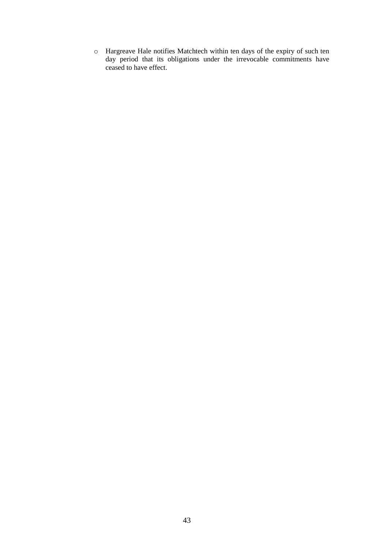o Hargreave Hale notifies Matchtech within ten days of the expiry of such ten day period that its obligations under the irrevocable commitments have ceased to have effect.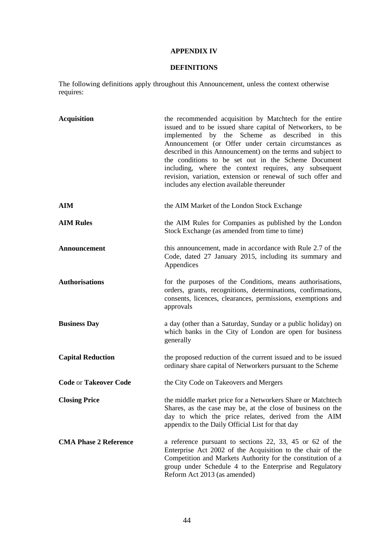# **APPENDIX IV**

# **DEFINITIONS**

The following definitions apply throughout this Announcement, unless the context otherwise requires:

| <b>Acquisition</b>           | the recommended acquisition by Matchtech for the entire<br>issued and to be issued share capital of Networkers, to be<br>implemented by the Scheme as described in this<br>Announcement (or Offer under certain circumstances as<br>described in this Announcement) on the terms and subject to<br>the conditions to be set out in the Scheme Document<br>including, where the context requires, any subsequent<br>revision, variation, extension or renewal of such offer and<br>includes any election available thereunder |
|------------------------------|------------------------------------------------------------------------------------------------------------------------------------------------------------------------------------------------------------------------------------------------------------------------------------------------------------------------------------------------------------------------------------------------------------------------------------------------------------------------------------------------------------------------------|
| AIM                          | the AIM Market of the London Stock Exchange                                                                                                                                                                                                                                                                                                                                                                                                                                                                                  |
| <b>AIM Rules</b>             | the AIM Rules for Companies as published by the London<br>Stock Exchange (as amended from time to time)                                                                                                                                                                                                                                                                                                                                                                                                                      |
| Announcement                 | this announcement, made in accordance with Rule 2.7 of the<br>Code, dated 27 January 2015, including its summary and<br>Appendices                                                                                                                                                                                                                                                                                                                                                                                           |
| <b>Authorisations</b>        | for the purposes of the Conditions, means authorisations,<br>orders, grants, recognitions, determinations, confirmations,<br>consents, licences, clearances, permissions, exemptions and<br>approvals                                                                                                                                                                                                                                                                                                                        |
| <b>Business Day</b>          | a day (other than a Saturday, Sunday or a public holiday) on<br>which banks in the City of London are open for business<br>generally                                                                                                                                                                                                                                                                                                                                                                                         |
| <b>Capital Reduction</b>     | the proposed reduction of the current issued and to be issued<br>ordinary share capital of Networkers pursuant to the Scheme                                                                                                                                                                                                                                                                                                                                                                                                 |
| <b>Code or Takeover Code</b> | the City Code on Takeovers and Mergers                                                                                                                                                                                                                                                                                                                                                                                                                                                                                       |
| <b>Closing Price</b>         | the middle market price for a Networkers Share or Matchtech<br>Shares, as the case may be, at the close of business on the<br>day to which the price relates, derived from the AIM<br>appendix to the Daily Official List for that day                                                                                                                                                                                                                                                                                       |
| <b>CMA Phase 2 Reference</b> | a reference pursuant to sections 22, 33, 45 or 62 of the<br>Enterprise Act 2002 of the Acquisition to the chair of the<br>Competition and Markets Authority for the constitution of a<br>group under Schedule 4 to the Enterprise and Regulatory<br>Reform Act 2013 (as amended)                                                                                                                                                                                                                                             |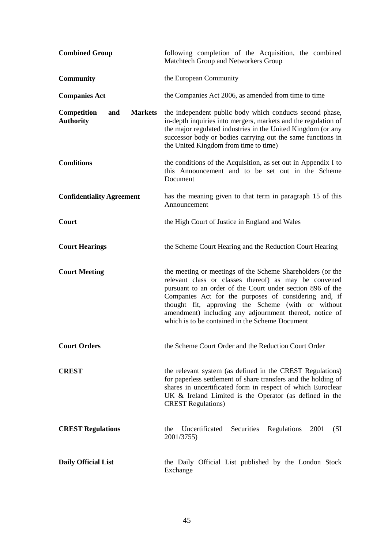| <b>Combined Group</b>                                           | following completion of the Acquisition, the combined<br>Matchtech Group and Networkers Group                                                                                                                                                                                                                                                                                                                  |
|-----------------------------------------------------------------|----------------------------------------------------------------------------------------------------------------------------------------------------------------------------------------------------------------------------------------------------------------------------------------------------------------------------------------------------------------------------------------------------------------|
| <b>Community</b>                                                | the European Community                                                                                                                                                                                                                                                                                                                                                                                         |
| <b>Companies Act</b>                                            | the Companies Act 2006, as amended from time to time                                                                                                                                                                                                                                                                                                                                                           |
| <b>Competition</b><br><b>Markets</b><br>and<br><b>Authority</b> | the independent public body which conducts second phase,<br>in-depth inquiries into mergers, markets and the regulation of<br>the major regulated industries in the United Kingdom (or any<br>successor body or bodies carrying out the same functions in<br>the United Kingdom from time to time)                                                                                                             |
| <b>Conditions</b>                                               | the conditions of the Acquisition, as set out in Appendix I to<br>this Announcement and to be set out in the Scheme<br>Document                                                                                                                                                                                                                                                                                |
| <b>Confidentiality Agreement</b>                                | has the meaning given to that term in paragraph 15 of this<br>Announcement                                                                                                                                                                                                                                                                                                                                     |
| Court                                                           | the High Court of Justice in England and Wales                                                                                                                                                                                                                                                                                                                                                                 |
| <b>Court Hearings</b>                                           | the Scheme Court Hearing and the Reduction Court Hearing                                                                                                                                                                                                                                                                                                                                                       |
| <b>Court Meeting</b>                                            | the meeting or meetings of the Scheme Shareholders (or the<br>relevant class or classes thereof) as may be convened<br>pursuant to an order of the Court under section 896 of the<br>Companies Act for the purposes of considering and, if<br>thought fit, approving the Scheme (with or without<br>amendment) including any adjournment thereof, notice of<br>which is to be contained in the Scheme Document |
| <b>Court Orders</b>                                             | the Scheme Court Order and the Reduction Court Order                                                                                                                                                                                                                                                                                                                                                           |
| <b>CREST</b>                                                    | the relevant system (as defined in the CREST Regulations)<br>for paperless settlement of share transfers and the holding of<br>shares in uncertificated form in respect of which Euroclear<br>UK & Ireland Limited is the Operator (as defined in the<br><b>CREST Regulations</b> )                                                                                                                            |
| <b>CREST Regulations</b>                                        | Uncertificated<br>Securities<br>2001<br>Regulations<br>(SI<br>the<br>2001/3755)                                                                                                                                                                                                                                                                                                                                |
| <b>Daily Official List</b>                                      | the Daily Official List published by the London Stock<br>Exchange                                                                                                                                                                                                                                                                                                                                              |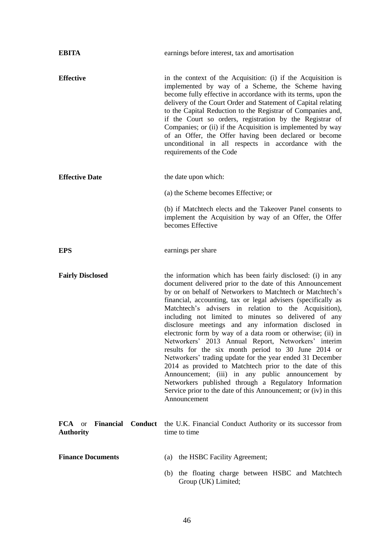| <b>EBITA</b>                                               | earnings before interest, tax and amortisation                                                                                                                                                                                                                                                                                                                                                                                                                                                                                                                                                                                                                                                                                                                                                                                                                                                                                           |
|------------------------------------------------------------|------------------------------------------------------------------------------------------------------------------------------------------------------------------------------------------------------------------------------------------------------------------------------------------------------------------------------------------------------------------------------------------------------------------------------------------------------------------------------------------------------------------------------------------------------------------------------------------------------------------------------------------------------------------------------------------------------------------------------------------------------------------------------------------------------------------------------------------------------------------------------------------------------------------------------------------|
| <b>Effective</b>                                           | in the context of the Acquisition: (i) if the Acquisition is<br>implemented by way of a Scheme, the Scheme having<br>become fully effective in accordance with its terms, upon the<br>delivery of the Court Order and Statement of Capital relating<br>to the Capital Reduction to the Registrar of Companies and,<br>if the Court so orders, registration by the Registrar of<br>Companies; or (ii) if the Acquisition is implemented by way<br>of an Offer, the Offer having been declared or become<br>unconditional in all respects in accordance with the<br>requirements of the Code                                                                                                                                                                                                                                                                                                                                               |
| <b>Effective Date</b>                                      | the date upon which:                                                                                                                                                                                                                                                                                                                                                                                                                                                                                                                                                                                                                                                                                                                                                                                                                                                                                                                     |
|                                                            | (a) the Scheme becomes Effective; or                                                                                                                                                                                                                                                                                                                                                                                                                                                                                                                                                                                                                                                                                                                                                                                                                                                                                                     |
|                                                            | (b) if Matchtech elects and the Takeover Panel consents to<br>implement the Acquisition by way of an Offer, the Offer<br>becomes Effective                                                                                                                                                                                                                                                                                                                                                                                                                                                                                                                                                                                                                                                                                                                                                                                               |
| <b>EPS</b>                                                 | earnings per share                                                                                                                                                                                                                                                                                                                                                                                                                                                                                                                                                                                                                                                                                                                                                                                                                                                                                                                       |
| <b>Fairly Disclosed</b>                                    | the information which has been fairly disclosed: (i) in any<br>document delivered prior to the date of this Announcement<br>by or on behalf of Networkers to Matchtech or Matchtech's<br>financial, accounting, tax or legal advisers (specifically as<br>Matchtech's advisers in relation to the Acquisition),<br>including not limited to minutes so delivered of any<br>disclosure meetings and any information disclosed in<br>electronic form by way of a data room or otherwise; (ii) in<br>Networkers' 2013 Annual Report, Networkers'<br>interim<br>results for the six month period to 30 June 2014 or<br>Networkers' trading update for the year ended 31 December<br>2014 as provided to Matchtech prior to the date of this<br>Announcement; (iii) in any public announcement by<br>Networkers published through a Regulatory Information<br>Service prior to the date of this Announcement; or (iv) in this<br>Announcement |
| <b>FCA</b> or <b>Financial Conduct</b><br><b>Authority</b> | the U.K. Financial Conduct Authority or its successor from<br>time to time                                                                                                                                                                                                                                                                                                                                                                                                                                                                                                                                                                                                                                                                                                                                                                                                                                                               |
| <b>Finance Documents</b>                                   | (a) the HSBC Facility Agreement;                                                                                                                                                                                                                                                                                                                                                                                                                                                                                                                                                                                                                                                                                                                                                                                                                                                                                                         |
|                                                            | (b) the floating charge between HSBC and Matchtech<br>Group (UK) Limited;                                                                                                                                                                                                                                                                                                                                                                                                                                                                                                                                                                                                                                                                                                                                                                                                                                                                |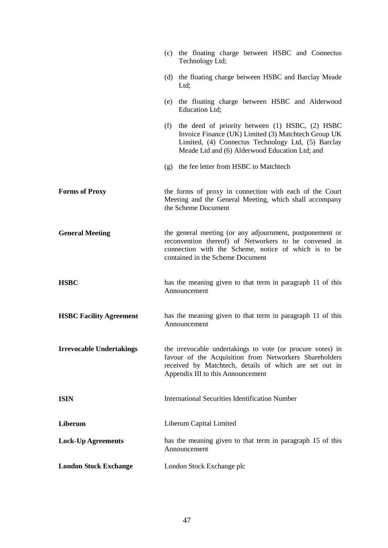|                                 | (c) the floating charge between HSBC and Connectus<br>Technology Ltd;                                                                                                                                                 |
|---------------------------------|-----------------------------------------------------------------------------------------------------------------------------------------------------------------------------------------------------------------------|
|                                 | (d) the floating charge between HSBC and Barclay Meade<br>Ltd;                                                                                                                                                        |
|                                 | (e) the floating charge between HSBC and Alderwood<br>Education Ltd;                                                                                                                                                  |
|                                 | the deed of priority between (1) HSBC, (2) HSBC<br>(f)<br>Invoice Finance (UK) Limited (3) Matchtech Group UK<br>Limited, (4) Connectus Technology Ltd, (5) Barclay<br>Meade Ltd and (6) Alderwood Education Ltd; and |
|                                 | (g) the fee letter from HSBC to Matchtech                                                                                                                                                                             |
| <b>Forms of Proxy</b>           | the forms of proxy in connection with each of the Court<br>Meeting and the General Meeting, which shall accompany<br>the Scheme Document                                                                              |
| <b>General Meeting</b>          | the general meeting (or any adjournment, postponement or<br>reconvention thereof) of Networkers to be convened in<br>connection with the Scheme, notice of which is to be<br>contained in the Scheme Document         |
| <b>HSBC</b>                     | has the meaning given to that term in paragraph 11 of this<br>Announcement                                                                                                                                            |
| <b>HSBC Facility Agreement</b>  | has the meaning given to that term in paragraph 11 of this<br>Announcement                                                                                                                                            |
| <b>Irrevocable Undertakings</b> | the irrevocable undertakings to vote (or procure votes) in<br>favour of the Acquisition from Networkers Shareholders<br>received by Matchtech, details of which are set out in<br>Appendix III to this Announcement   |
| <b>ISIN</b>                     | <b>International Securities Identification Number</b>                                                                                                                                                                 |
| Liberum                         | Liberum Capital Limited                                                                                                                                                                                               |
| <b>Lock-Up Agreements</b>       | has the meaning given to that term in paragraph 15 of this<br>Announcement                                                                                                                                            |
| <b>London Stock Exchange</b>    | London Stock Exchange plc                                                                                                                                                                                             |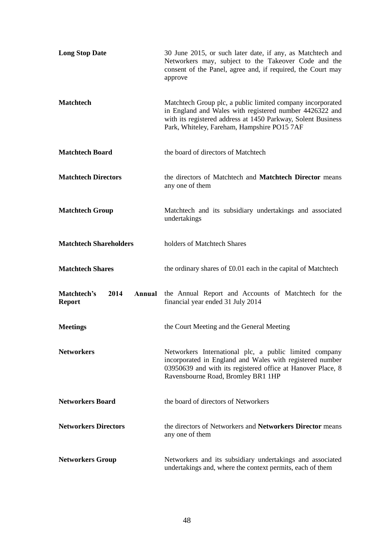| <b>Long Stop Date</b>                          | 30 June 2015, or such later date, if any, as Matchtech and<br>Networkers may, subject to the Takeover Code and the<br>consent of the Panel, agree and, if required, the Court may<br>approve                                         |
|------------------------------------------------|--------------------------------------------------------------------------------------------------------------------------------------------------------------------------------------------------------------------------------------|
| <b>Matchtech</b>                               | Matchtech Group plc, a public limited company incorporated<br>in England and Wales with registered number 4426322 and<br>with its registered address at 1450 Parkway, Solent Business<br>Park, Whiteley, Fareham, Hampshire PO15 7AF |
| <b>Matchtech Board</b>                         | the board of directors of Matchtech                                                                                                                                                                                                  |
| <b>Matchtech Directors</b>                     | the directors of Matchtech and Matchtech Director means<br>any one of them                                                                                                                                                           |
| <b>Matchtech Group</b>                         | Matchtech and its subsidiary undertakings and associated<br>undertakings                                                                                                                                                             |
| <b>Matchtech Shareholders</b>                  | holders of Matchtech Shares                                                                                                                                                                                                          |
| <b>Matchtech Shares</b>                        | the ordinary shares of £0.01 each in the capital of Matchtech                                                                                                                                                                        |
| 2014<br>Matchtech's<br>Annual<br><b>Report</b> | the Annual Report and Accounts of Matchtech for the<br>financial year ended 31 July 2014                                                                                                                                             |
| <b>Meetings</b>                                | the Court Meeting and the General Meeting                                                                                                                                                                                            |
| <b>Networkers</b>                              | Networkers International plc, a public limited company<br>incorporated in England and Wales with registered number<br>03950639 and with its registered office at Hanover Place, 8<br>Ravensbourne Road, Bromley BR1 1HP              |
| <b>Networkers Board</b>                        | the board of directors of Networkers                                                                                                                                                                                                 |
| <b>Networkers Directors</b>                    | the directors of Networkers and Networkers Director means<br>any one of them                                                                                                                                                         |
| <b>Networkers Group</b>                        | Networkers and its subsidiary undertakings and associated<br>undertakings and, where the context permits, each of them                                                                                                               |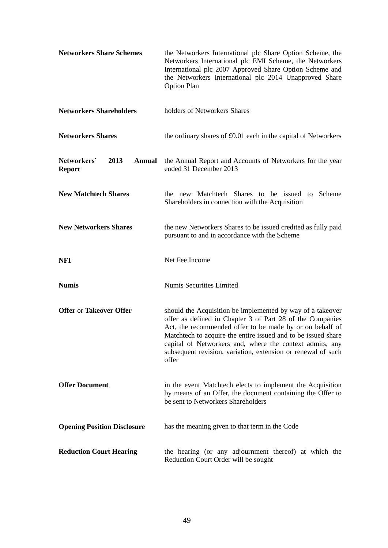| <b>Networkers Share Schemes</b>                       | the Networkers International plc Share Option Scheme, the<br>Networkers International plc EMI Scheme, the Networkers<br>International plc 2007 Approved Share Option Scheme and<br>the Networkers International plc 2014 Unapproved Share<br><b>Option Plan</b>                                                                                                                           |
|-------------------------------------------------------|-------------------------------------------------------------------------------------------------------------------------------------------------------------------------------------------------------------------------------------------------------------------------------------------------------------------------------------------------------------------------------------------|
| <b>Networkers Shareholders</b>                        | holders of Networkers Shares                                                                                                                                                                                                                                                                                                                                                              |
| <b>Networkers Shares</b>                              | the ordinary shares of £0.01 each in the capital of Networkers                                                                                                                                                                                                                                                                                                                            |
| Networkers'<br>2013<br><b>Annual</b><br><b>Report</b> | the Annual Report and Accounts of Networkers for the year<br>ended 31 December 2013                                                                                                                                                                                                                                                                                                       |
| <b>New Matchtech Shares</b>                           | the new Matchtech Shares to be issued to Scheme<br>Shareholders in connection with the Acquisition                                                                                                                                                                                                                                                                                        |
| <b>New Networkers Shares</b>                          | the new Networkers Shares to be issued credited as fully paid<br>pursuant to and in accordance with the Scheme                                                                                                                                                                                                                                                                            |
| <b>NFI</b>                                            | Net Fee Income                                                                                                                                                                                                                                                                                                                                                                            |
| <b>Numis</b>                                          | Numis Securities Limited                                                                                                                                                                                                                                                                                                                                                                  |
| <b>Offer or Takeover Offer</b>                        | should the Acquisition be implemented by way of a takeover<br>offer as defined in Chapter 3 of Part 28 of the Companies<br>Act, the recommended offer to be made by or on behalf of<br>Matchtech to acquire the entire issued and to be issued share<br>capital of Networkers and, where the context admits, any<br>subsequent revision, variation, extension or renewal of such<br>offer |
| <b>Offer Document</b>                                 | in the event Matchtech elects to implement the Acquisition<br>by means of an Offer, the document containing the Offer to<br>be sent to Networkers Shareholders                                                                                                                                                                                                                            |
| <b>Opening Position Disclosure</b>                    | has the meaning given to that term in the Code                                                                                                                                                                                                                                                                                                                                            |
| <b>Reduction Court Hearing</b>                        | the hearing (or any adjournment thereof) at which the<br>Reduction Court Order will be sought                                                                                                                                                                                                                                                                                             |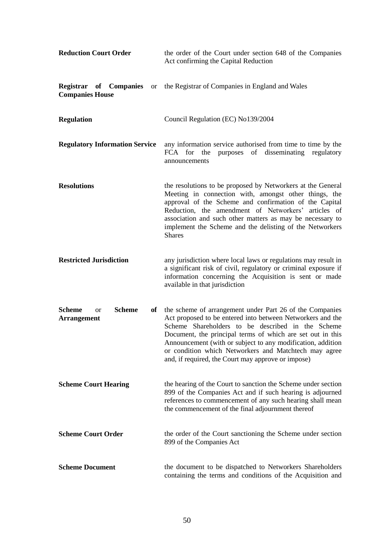| <b>Reduction Court Order</b>                                            | the order of the Court under section 648 of the Companies<br>Act confirming the Capital Reduction                                                                                                                                                                                                                                                                                                                       |
|-------------------------------------------------------------------------|-------------------------------------------------------------------------------------------------------------------------------------------------------------------------------------------------------------------------------------------------------------------------------------------------------------------------------------------------------------------------------------------------------------------------|
| <b>Registrar of Companies</b> or<br><b>Companies House</b>              | the Registrar of Companies in England and Wales                                                                                                                                                                                                                                                                                                                                                                         |
| <b>Regulation</b>                                                       | Council Regulation (EC) No139/2004                                                                                                                                                                                                                                                                                                                                                                                      |
| <b>Regulatory Information Service</b>                                   | any information service authorised from time to time by the<br>purposes of disseminating regulatory<br>FCA for the<br>announcements                                                                                                                                                                                                                                                                                     |
| <b>Resolutions</b>                                                      | the resolutions to be proposed by Networkers at the General<br>Meeting in connection with, amongst other things, the<br>approval of the Scheme and confirmation of the Capital<br>Reduction, the amendment of Networkers' articles of<br>association and such other matters as may be necessary to<br>implement the Scheme and the delisting of the Networkers<br><b>Shares</b>                                         |
| <b>Restricted Jurisdiction</b>                                          | any jurisdiction where local laws or regulations may result in<br>a significant risk of civil, regulatory or criminal exposure if<br>information concerning the Acquisition is sent or made<br>available in that jurisdiction                                                                                                                                                                                           |
| <b>Scheme</b><br><b>Scheme</b><br>of<br><b>or</b><br><b>Arrangement</b> | the scheme of arrangement under Part 26 of the Companies<br>Act proposed to be entered into between Networkers and the<br>Scheme Shareholders to be described in the Scheme<br>Document, the principal terms of which are set out in this<br>Announcement (with or subject to any modification, addition<br>or condition which Networkers and Matchtech may agree<br>and, if required, the Court may approve or impose) |
| <b>Scheme Court Hearing</b>                                             | the hearing of the Court to sanction the Scheme under section<br>899 of the Companies Act and if such hearing is adjourned<br>references to commencement of any such hearing shall mean<br>the commencement of the final adjournment thereof                                                                                                                                                                            |
| <b>Scheme Court Order</b>                                               | the order of the Court sanctioning the Scheme under section<br>899 of the Companies Act                                                                                                                                                                                                                                                                                                                                 |
| <b>Scheme Document</b>                                                  | the document to be dispatched to Networkers Shareholders<br>containing the terms and conditions of the Acquisition and                                                                                                                                                                                                                                                                                                  |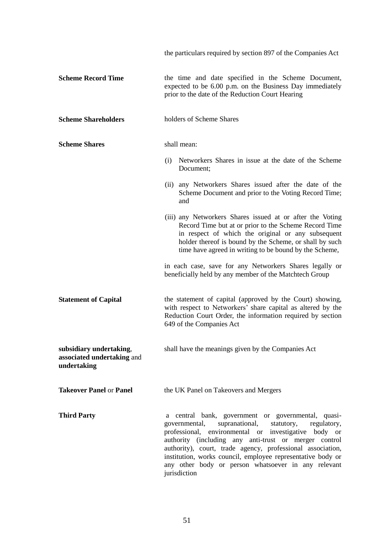|                                                                      | the particulars required by section 897 of the Companies Act                                                                                                                                                                                                                                                                                                                                                                               |
|----------------------------------------------------------------------|--------------------------------------------------------------------------------------------------------------------------------------------------------------------------------------------------------------------------------------------------------------------------------------------------------------------------------------------------------------------------------------------------------------------------------------------|
| <b>Scheme Record Time</b>                                            | the time and date specified in the Scheme Document,<br>expected to be 6.00 p.m. on the Business Day immediately<br>prior to the date of the Reduction Court Hearing                                                                                                                                                                                                                                                                        |
| <b>Scheme Shareholders</b>                                           | holders of Scheme Shares                                                                                                                                                                                                                                                                                                                                                                                                                   |
| <b>Scheme Shares</b>                                                 | shall mean:                                                                                                                                                                                                                                                                                                                                                                                                                                |
|                                                                      | Networkers Shares in issue at the date of the Scheme<br>(i)<br>Document;                                                                                                                                                                                                                                                                                                                                                                   |
|                                                                      | (ii) any Networkers Shares issued after the date of the<br>Scheme Document and prior to the Voting Record Time;<br>and                                                                                                                                                                                                                                                                                                                     |
|                                                                      | (iii) any Networkers Shares issued at or after the Voting<br>Record Time but at or prior to the Scheme Record Time<br>in respect of which the original or any subsequent<br>holder thereof is bound by the Scheme, or shall by such<br>time have agreed in writing to be bound by the Scheme,                                                                                                                                              |
|                                                                      | in each case, save for any Networkers Shares legally or<br>beneficially held by any member of the Matchtech Group                                                                                                                                                                                                                                                                                                                          |
| <b>Statement of Capital</b>                                          | the statement of capital (approved by the Court) showing,<br>with respect to Networkers' share capital as altered by the<br>Reduction Court Order, the information required by section<br>649 of the Companies Act                                                                                                                                                                                                                         |
| subsidiary undertaking,<br>associated undertaking and<br>undertaking | shall have the meanings given by the Companies Act                                                                                                                                                                                                                                                                                                                                                                                         |
| <b>Takeover Panel or Panel</b>                                       | the UK Panel on Takeovers and Mergers                                                                                                                                                                                                                                                                                                                                                                                                      |
| <b>Third Party</b>                                                   | a central bank, government or governmental, quasi-<br>supranational,<br>governmental,<br>statutory,<br>regulatory,<br>environmental or investigative body or<br>professional,<br>authority (including any anti-trust or merger control<br>authority), court, trade agency, professional association,<br>institution, works council, employee representative body or<br>any other body or person whatsoever in any relevant<br>jurisdiction |